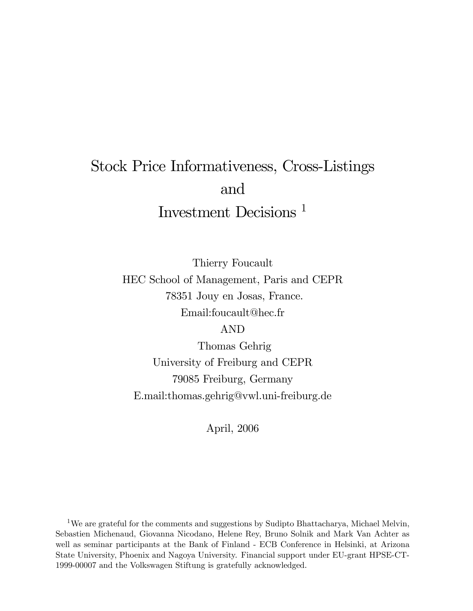# Stock Price Informativeness, Cross-Listings and Investment Decisions <sup>1</sup>

Thierry Foucault HEC School of Management, Paris and CEPR 78351 Jouy en Josas, France. Email:foucault@hec.fr

AND

Thomas Gehrig University of Freiburg and CEPR 79085 Freiburg, Germany E.mail:thomas.gehrig@vwl.uni-freiburg.de

April, 2006

<sup>1</sup>We are grateful for the comments and suggestions by Sudipto Bhattacharya, Michael Melvin, Sebastien Michenaud, Giovanna Nicodano, Helene Rey, Bruno Solnik and Mark Van Achter as well as seminar participants at the Bank of Finland - ECB Conference in Helsinki, at Arizona State University, Phoenix and Nagoya University. Financial support under EU-grant HPSE-CT-1999-00007 and the Volkswagen Stiftung is gratefully acknowledged.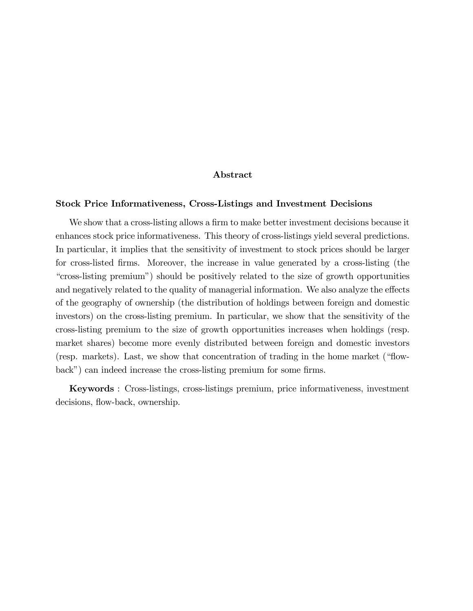#### Abstract

#### Stock Price Informativeness, Cross-Listings and Investment Decisions

We show that a cross-listing allows a firm to make better investment decisions because it enhances stock price informativeness. This theory of cross-listings yield several predictions. In particular, it implies that the sensitivity of investment to stock prices should be larger for cross-listed firms. Moreover, the increase in value generated by a cross-listing (the ìcross-listing premiumî) should be positively related to the size of growth opportunities and negatively related to the quality of managerial information. We also analyze the effects of the geography of ownership (the distribution of holdings between foreign and domestic investors) on the cross-listing premium. In particular, we show that the sensitivity of the cross-listing premium to the size of growth opportunities increases when holdings (resp. market shares) become more evenly distributed between foreign and domestic investors (resp. markets). Last, we show that concentration of trading in the home market ( $\text{``flow--}$ back") can indeed increase the cross-listing premium for some firms.

Keywords : Cross-listings, cross-listings premium, price informativeness, investment decisions, flow-back, ownership.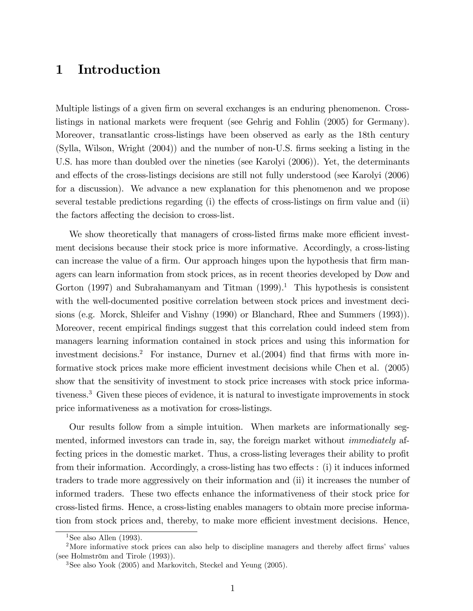# 1 Introduction

Multiple listings of a given firm on several exchanges is an enduring phenomenon. Crosslistings in national markets were frequent (see Gehrig and Fohlin (2005) for Germany). Moreover, transatlantic cross-listings have been observed as early as the 18th century (Sylla, Wilson, Wright (2004)) and the number of non-U.S. Örms seeking a listing in the U.S. has more than doubled over the nineties (see Karolyi (2006)). Yet, the determinants and effects of the cross-listings decisions are still not fully understood (see Karolyi (2006) for a discussion). We advance a new explanation for this phenomenon and we propose several testable predictions regarding  $(i)$  the effects of cross-listings on firm value and  $(ii)$ the factors affecting the decision to cross-list.

We show theoretically that managers of cross-listed firms make more efficient investment decisions because their stock price is more informative. Accordingly, a cross-listing can increase the value of a firm. Our approach hinges upon the hypothesis that firm managers can learn information from stock prices, as in recent theories developed by Dow and Gorton (1997) and Subrahamanyam and Titman  $(1999).<sup>1</sup>$  This hypothesis is consistent with the well-documented positive correlation between stock prices and investment decisions (e.g. Morck, Shleifer and Vishny (1990) or Blanchard, Rhee and Summers (1993)). Moreover, recent empirical findings suggest that this correlation could indeed stem from managers learning information contained in stock prices and using this information for investment decisions.<sup>2</sup> For instance, Durney et al. $(2004)$  find that firms with more informative stock prices make more efficient investment decisions while Chen et al. (2005) show that the sensitivity of investment to stock price increases with stock price informativeness.<sup>3</sup> Given these pieces of evidence, it is natural to investigate improvements in stock price informativeness as a motivation for cross-listings.

Our results follow from a simple intuition. When markets are informationally segmented, informed investors can trade in, say, the foreign market without immediately affecting prices in the domestic market. Thus, a cross-listing leverages their ability to profit from their information. Accordingly, a cross-listing has two effects : (i) it induces informed traders to trade more aggressively on their information and (ii) it increases the number of informed traders. These two effects enhance the informativeness of their stock price for cross-listed Örms. Hence, a cross-listing enables managers to obtain more precise information from stock prices and, thereby, to make more efficient investment decisions. Hence,

<sup>&</sup>lt;sup>1</sup>See also Allen (1993).

<sup>&</sup>lt;sup>2</sup>More informative stock prices can also help to discipline managers and thereby affect firms' values (see Holmström and Tirole  $(1993)$ ).

<sup>3</sup>See also Yook (2005) and Markovitch, Steckel and Yeung (2005).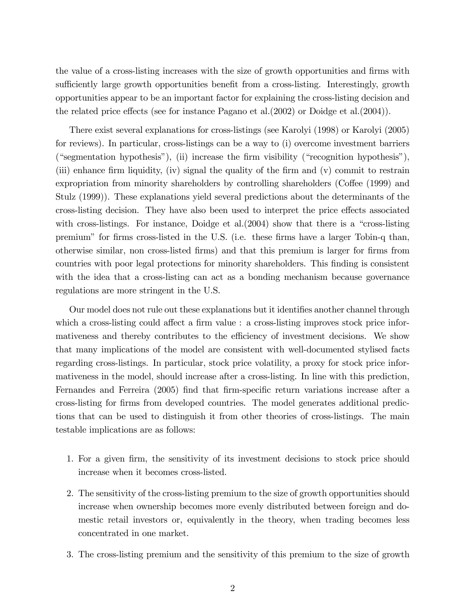the value of a cross-listing increases with the size of growth opportunities and firms with sufficiently large growth opportunities benefit from a cross-listing. Interestingly, growth opportunities appear to be an important factor for explaining the cross-listing decision and the related price effects (see for instance Pagano et al.  $(2002)$  or Doidge et al.  $(2004)$ ).

There exist several explanations for cross-listings (see Karolyi (1998) or Karolyi (2005) for reviews). In particular, cross-listings can be a way to (i) overcome investment barriers ("segmentation hypothesis"), (ii) increase the firm visibility ("recognition hypothesis"), (iii) enhance firm liquidity, (iv) signal the quality of the firm and  $(v)$  commit to restrain expropriation from minority shareholders by controlling shareholders (Coffee (1999) and Stulz (1999)). These explanations yield several predictions about the determinants of the cross-listing decision. They have also been used to interpret the price effects associated with cross-listings. For instance, Doidge et al. $(2004)$  show that there is a "cross-listing" premium" for firms cross-listed in the U.S. (i.e. these firms have a larger Tobin-q than, otherwise similar, non cross-listed Örms) and that this premium is larger for Örms from countries with poor legal protections for minority shareholders. This Önding is consistent with the idea that a cross-listing can act as a bonding mechanism because governance regulations are more stringent in the U.S.

Our model does not rule out these explanations but it identifies another channel through which a cross-listing could affect a firm value : a cross-listing improves stock price informativeness and thereby contributes to the efficiency of investment decisions. We show that many implications of the model are consistent with well-documented stylised facts regarding cross-listings. In particular, stock price volatility, a proxy for stock price informativeness in the model, should increase after a cross-listing. In line with this prediction, Fernandes and Ferreira (2005) find that firm-specific return variations increase after a cross-listing for Örms from developed countries. The model generates additional predictions that can be used to distinguish it from other theories of cross-listings. The main testable implications are as follows:

- 1. For a given Örm, the sensitivity of its investment decisions to stock price should increase when it becomes cross-listed.
- 2. The sensitivity of the cross-listing premium to the size of growth opportunities should increase when ownership becomes more evenly distributed between foreign and domestic retail investors or, equivalently in the theory, when trading becomes less concentrated in one market.
- 3. The cross-listing premium and the sensitivity of this premium to the size of growth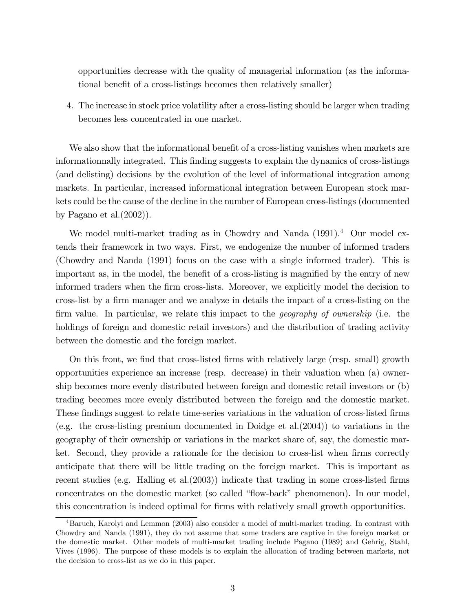opportunities decrease with the quality of managerial information (as the informational benefit of a cross-listings becomes then relatively smaller)

4. The increase in stock price volatility after a cross-listing should be larger when trading becomes less concentrated in one market.

We also show that the informational benefit of a cross-listing vanishes when markets are informationnally integrated. This finding suggests to explain the dynamics of cross-listings (and delisting) decisions by the evolution of the level of informational integration among markets. In particular, increased informational integration between European stock markets could be the cause of the decline in the number of European cross-listings (documented by Pagano et al.(2002)).

We model multi-market trading as in Chowdry and Nanda (1991).<sup>4</sup> Our model extends their framework in two ways. First, we endogenize the number of informed traders (Chowdry and Nanda (1991) focus on the case with a single informed trader). This is important as, in the model, the benefit of a cross-listing is magnified by the entry of new informed traders when the Örm cross-lists. Moreover, we explicitly model the decision to cross-list by a firm manager and we analyze in details the impact of a cross-listing on the firm value. In particular, we relate this impact to the *geography of ownership* (i.e. the holdings of foreign and domestic retail investors) and the distribution of trading activity between the domestic and the foreign market.

On this front, we find that cross-listed firms with relatively large (resp. small) growth opportunities experience an increase (resp. decrease) in their valuation when (a) ownership becomes more evenly distributed between foreign and domestic retail investors or (b) trading becomes more evenly distributed between the foreign and the domestic market. These findings suggest to relate time-series variations in the valuation of cross-listed firms (e.g. the cross-listing premium documented in Doidge et al.(2004)) to variations in the geography of their ownership or variations in the market share of, say, the domestic market. Second, they provide a rationale for the decision to cross-list when firms correctly anticipate that there will be little trading on the foreign market. This is important as recent studies (e.g. Halling et al. $(2003)$ ) indicate that trading in some cross-listed firms concentrates on the domestic market (so called "flow-back" phenomenon). In our model, this concentration is indeed optimal for Örms with relatively small growth opportunities.

<sup>4</sup>Baruch, Karolyi and Lemmon (2003) also consider a model of multi-market trading. In contrast with Chowdry and Nanda (1991), they do not assume that some traders are captive in the foreign market or the domestic market. Other models of multi-market trading include Pagano (1989) and Gehrig, Stahl, Vives (1996). The purpose of these models is to explain the allocation of trading between markets, not the decision to cross-list as we do in this paper.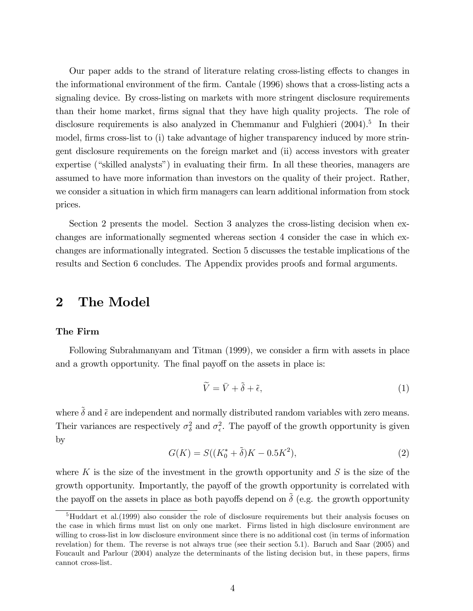Our paper adds to the strand of literature relating cross-listing effects to changes in the informational environment of the Örm. Cantale (1996) shows that a cross-listing acts a signaling device. By cross-listing on markets with more stringent disclosure requirements than their home market, firms signal that they have high quality projects. The role of disclosure requirements is also analyzed in Chemmanur and Fulghieri (2004).<sup>5</sup> In their model, firms cross-list to (i) take advantage of higher transparency induced by more stringent disclosure requirements on the foreign market and (ii) access investors with greater expertise ("skilled analysts") in evaluating their firm. In all these theories, managers are assumed to have more information than investors on the quality of their project. Rather, we consider a situation in which firm managers can learn additional information from stock prices.

Section 2 presents the model. Section 3 analyzes the cross-listing decision when exchanges are informationally segmented whereas section 4 consider the case in which exchanges are informationally integrated. Section 5 discusses the testable implications of the results and Section 6 concludes. The Appendix provides proofs and formal arguments.

# 2 The Model

### The Firm

Following Subrahmanyam and Titman (1999), we consider a firm with assets in place and a growth opportunity. The final payoff on the assets in place is:

$$
\widetilde{V} = \bar{V} + \tilde{\delta} + \tilde{\epsilon},\tag{1}
$$

where  $\tilde{\delta}$  and  $\tilde{\epsilon}$  are independent and normally distributed random variables with zero means. Their variances are respectively  $\sigma_{\delta}^2$  and  $\sigma_{\epsilon}^2$ . The payoff of the growth opportunity is given by

$$
G(K) = S((K_0^* + \tilde{\delta})K - 0.5K^2),
$$
\n(2)

where K is the size of the investment in the growth opportunity and S is the size of the growth opportunity. Importantly, the payoff of the growth opportunity is correlated with the payoff on the assets in place as both payoffs depend on  $\tilde{\delta}$  (e.g. the growth opportunity

<sup>5</sup>Huddart et al.(1999) also consider the role of disclosure requirements but their analysis focuses on the case in which Örms must list on only one market. Firms listed in high disclosure environment are willing to cross-list in low disclosure environment since there is no additional cost (in terms of information revelation) for them. The reverse is not always true (see their section 5.1). Baruch and Saar (2005) and Foucault and Parlour (2004) analyze the determinants of the listing decision but, in these papers, firms cannot cross-list.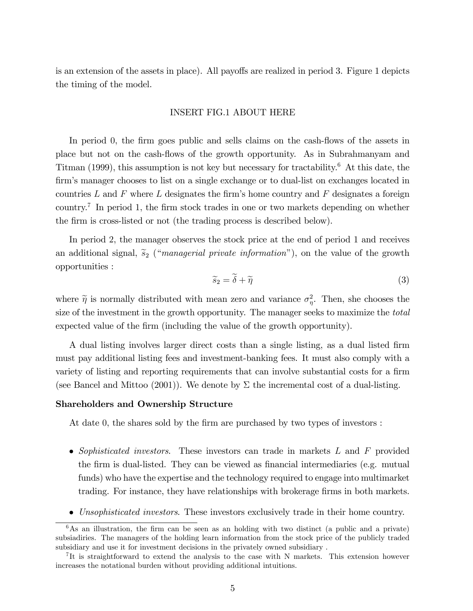is an extension of the assets in place). All payoffs are realized in period 3. Figure 1 depicts the timing of the model.

#### INSERT FIG.1 ABOUT HERE

In period 0, the firm goes public and sells claims on the cash-flows of the assets in place but not on the cash-áows of the growth opportunity. As in Subrahmanyam and Titman (1999), this assumption is not key but necessary for tractability.<sup>6</sup> At this date, the firm's manager chooses to list on a single exchange or to dual-list on exchanges located in countries L and F where L designates the firm's home country and F designates a foreign country.<sup>7</sup> In period 1, the firm stock trades in one or two markets depending on whether the firm is cross-listed or not (the trading process is described below).

In period 2, the manager observes the stock price at the end of period 1 and receives an additional signal,  $\tilde{s}_2$  ("*managerial private information*"), on the value of the growth opportunities :

$$
\widetilde{s}_2 = \delta + \widetilde{\eta} \tag{3}
$$

where  $\tilde{\eta}$  is normally distributed with mean zero and variance  $\sigma_{\eta}^2$ . Then, she chooses the size of the investment in the growth opportunity. The manager seeks to maximize the *total* expected value of the firm (including the value of the growth opportunity).

A dual listing involves larger direct costs than a single listing, as a dual listed Örm must pay additional listing fees and investment-banking fees. It must also comply with a variety of listing and reporting requirements that can involve substantial costs for a firm (see Bancel and Mittoo (2001)). We denote by  $\Sigma$  the incremental cost of a dual-listing.

### Shareholders and Ownership Structure

At date 0, the shares sold by the firm are purchased by two types of investors :

- Sophisticated investors. These investors can trade in markets  $L$  and  $F$  provided the firm is dual-listed. They can be viewed as financial intermediaries (e.g. mutual funds) who have the expertise and the technology required to engage into multimarket trading. For instance, they have relationships with brokerage firms in both markets.
- Unsophisticated investors. These investors exclusively trade in their home country.

 $6$ As an illustration, the firm can be seen as an holding with two distinct (a public and a private) subsiadiries. The managers of the holding learn information from the stock price of the publicly traded subsidiary and use it for investment decisions in the privately owned subsidiary .

<sup>&</sup>lt;sup>7</sup>It is straightforward to extend the analysis to the case with N markets. This extension however increases the notational burden without providing additional intuitions.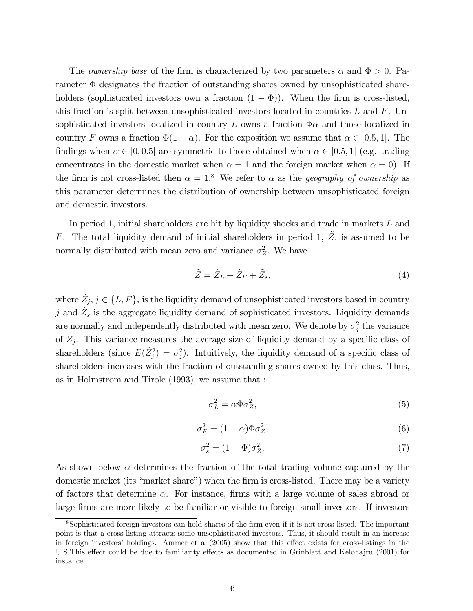The *ownership base* of the firm is characterized by two parameters  $\alpha$  and  $\Phi > 0$ . Parameter  $\Phi$  designates the fraction of outstanding shares owned by unsophisticated shareholders (sophisticated investors own a fraction  $(1 - \Phi)$ ). When the firm is cross-listed, this fraction is split between unsophisticated investors located in countries  $L$  and  $F$ . Unsophisticated investors localized in country L owns a fraction  $\Phi \alpha$  and those localized in country F owns a fraction  $\Phi(1 - \alpha)$ . For the exposition we assume that  $\alpha \in [0.5, 1]$ . The findings when  $\alpha \in [0, 0.5]$  are symmetric to those obtained when  $\alpha \in [0.5, 1]$  (e.g. trading concentrates in the domestic market when  $\alpha = 1$  and the foreign market when  $\alpha = 0$ ). If the firm is not cross-listed then  $\alpha = 1$ .<sup>8</sup> We refer to  $\alpha$  as the *geography of ownership* as this parameter determines the distribution of ownership between unsophisticated foreign and domestic investors.

In period 1, initial shareholders are hit by liquidity shocks and trade in markets  $L$  and F. The total liquidity demand of initial shareholders in period 1,  $\tilde{Z}$ , is assumed to be normally distributed with mean zero and variance  $\sigma_Z^2$ . We have

$$
\tilde{Z} = \tilde{Z}_L + \tilde{Z}_F + \tilde{Z}_s,\tag{4}
$$

where  $\tilde{Z}_j, j \in \{L, F\}$ , is the liquidity demand of unsophisticated investors based in country j and  $\tilde{Z}_s$  is the aggregate liquidity demand of sophisticated investors. Liquidity demands are normally and independently distributed with mean zero. We denote by  $\sigma_j^2$  the variance of  $\tilde{Z}_j$ . This variance measures the average size of liquidity demand by a specific class of shareholders (since  $E(\tilde{Z}_{j}^{2}) = \sigma_{j}^{2}$ ). Intuitively, the liquidity demand of a specific class of shareholders increases with the fraction of outstanding shares owned by this class. Thus, as in Holmstrom and Tirole (1993), we assume that :

$$
\sigma_L^2 = \alpha \Phi \sigma_Z^2,\tag{5}
$$

$$
\sigma_F^2 = (1 - \alpha)\Phi\sigma_Z^2,\tag{6}
$$

$$
\sigma_s^2 = (1 - \Phi)\sigma_Z^2. \tag{7}
$$

As shown below  $\alpha$  determines the fraction of the total trading volume captured by the domestic market (its "market share") when the firm is cross-listed. There may be a variety of factors that determine  $\alpha$ . For instance, firms with a large volume of sales abroad or large firms are more likely to be familiar or visible to foreign small investors. If investors

<sup>&</sup>lt;sup>8</sup>Sophisticated foreign investors can hold shares of the firm even if it is not cross-listed. The important point is that a cross-listing attracts some unsophisticated investors. Thus, it should result in an increase in foreign investors' holdings. Ammer et al. $(2005)$  show that this effect exists for cross-listings in the U.S. This effect could be due to familiarity effects as documented in Grinblatt and Kelohajru (2001) for instance.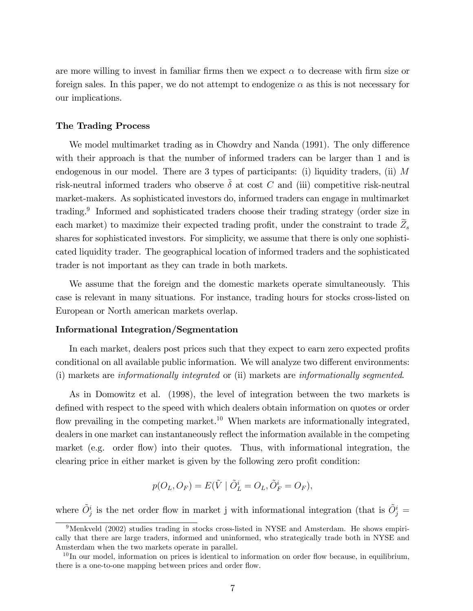are more willing to invest in familiar firms then we expect  $\alpha$  to decrease with firm size or foreign sales. In this paper, we do not attempt to endogenize  $\alpha$  as this is not necessary for our implications.

#### The Trading Process

We model multimarket trading as in Chowdry and Nanda (1991). The only difference with their approach is that the number of informed traders can be larger than 1 and is endogenous in our model. There are 3 types of participants: (i) liquidity traders, (ii)  $M$ risk-neutral informed traders who observe  $\tilde{\delta}$  at cost C and (iii) competitive risk-neutral market-makers. As sophisticated investors do, informed traders can engage in multimarket trading.<sup>9</sup> Informed and sophisticated traders choose their trading strategy (order size in each market) to maximize their expected trading profit, under the constraint to trade  $\widetilde{Z}_s$ shares for sophisticated investors. For simplicity, we assume that there is only one sophisticated liquidity trader. The geographical location of informed traders and the sophisticated trader is not important as they can trade in both markets.

We assume that the foreign and the domestic markets operate simultaneously. This case is relevant in many situations. For instance, trading hours for stocks cross-listed on European or North american markets overlap.

### Informational Integration/Segmentation

In each market, dealers post prices such that they expect to earn zero expected profits conditional on all available public information. We will analyze two different environments: (i) markets are informationally integrated or (ii) markets are informationally segmented.

As in Domowitz et al. (1998), the level of integration between the two markets is defined with respect to the speed with which dealers obtain information on quotes or order flow prevailing in the competing market.<sup>10</sup> When markets are informationally integrated, dealers in one market can instantaneously reflect the information available in the competing market (e.g. order flow) into their quotes. Thus, with informational integration, the clearing price in either market is given by the following zero profit condition:

$$
p(O_L, O_F) = E(\tilde{V} \mid \tilde{O}_L^i = O_L, \tilde{O}_F^i = O_F),
$$

where  $\tilde{O}^i_j$  is the net order flow in market j with informational integration (that is  $\tilde{O}^i_j =$ 

<sup>9</sup>Menkveld (2002) studies trading in stocks cross-listed in NYSE and Amsterdam. He shows empirically that there are large traders, informed and uninformed, who strategically trade both in NYSE and Amsterdam when the two markets operate in parallel.

 $10$  In our model, information on prices is identical to information on order flow because, in equilibrium, there is a one-to-one mapping between prices and order flow.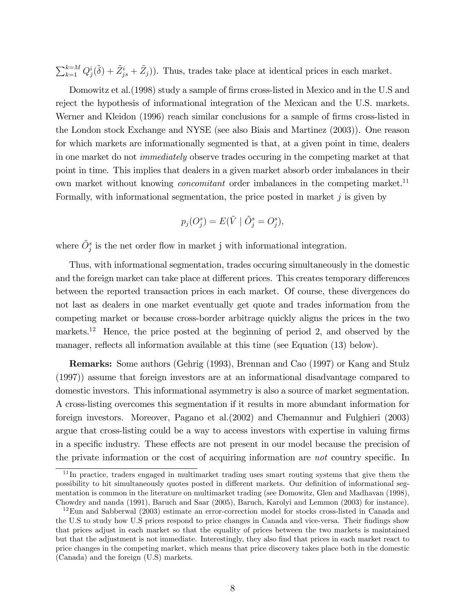$\sum_{k=1}^{k=M} Q_j^i(\tilde{\delta}) + \tilde{Z}_{js}^i + \tilde{Z}_j)$ . Thus, trades take place at identical prices in each market.

Domowitz et al. (1998) study a sample of firms cross-listed in Mexico and in the U.S and reject the hypothesis of informational integration of the Mexican and the U.S. markets. Werner and Kleidon (1996) reach similar conclusions for a sample of firms cross-listed in the London stock Exchange and NYSE (see also Biais and Martinez (2003)). One reason for which markets are informationally segmented is that, at a given point in time, dealers in one market do not immediately observe trades occuring in the competing market at that point in time. This implies that dealers in a given market absorb order imbalances in their own market without knowing *concomitant* order imbalances in the competing market.<sup>11</sup> Formally, with informational segmentation, the price posted in market  $j$  is given by

$$
p_j(O_j^s) = E(\tilde{V} \mid \tilde{O}_j^s = O_j^s),
$$

where  $\tilde{O}^s_j$  is the net order flow in market j with informational integration.

Thus, with informational segmentation, trades occuring simultaneously in the domestic and the foreign market can take place at different prices. This creates temporary differences between the reported transaction prices in each market. Of course, these divergences do not last as dealers in one market eventually get quote and trades information from the competing market or because cross-border arbitrage quickly aligns the prices in the two markets.<sup>12</sup> Hence, the price posted at the beginning of period 2, and observed by the manager, reflects all information available at this time (see Equation (13) below).

Remarks: Some authors (Gehrig (1993), Brennan and Cao (1997) or Kang and Stulz (1997)) assume that foreign investors are at an informational disadvantage compared to domestic investors. This informational asymmetry is also a source of market segmentation. A cross-listing overcomes this segmentation if it results in more abundant information for foreign investors. Moreover, Pagano et al.(2002) and Chemannur and Fulghieri (2003) argue that cross-listing could be a way to access investors with expertise in valuing firms in a specific industry. These effects are not present in our model because the precision of the private information or the cost of acquiring information are  $not$  country specific. In

 $11$ In practice, traders engaged in multimarket trading uses smart routing systems that give them the possibility to hit simultaneously quotes posted in different markets. Our definition of informational segmentation is common in the literature on multimarket trading (see Domowitz, Glen and Madhavan (1998), Chowdry and nanda (1991), Baruch and Saar (2005), Baruch, Karolyi and Lemmon (2003) for instance).

<sup>&</sup>lt;sup>12</sup>Eun and Sabberwal (2003) estimate an error-correction model for stocks cross-listed in Canada and the U.S to study how U.S prices respond to price changes in Canada and vice-versa. Their findings show that prices adjust in each market so that the equality of prices between the two markets is maintained but that the adjustment is not immediate. Interestingly, they also find that prices in each market react to price changes in the competing market, which means that price discovery takes place both in the domestic (Canada) and the foreign (U.S) markets.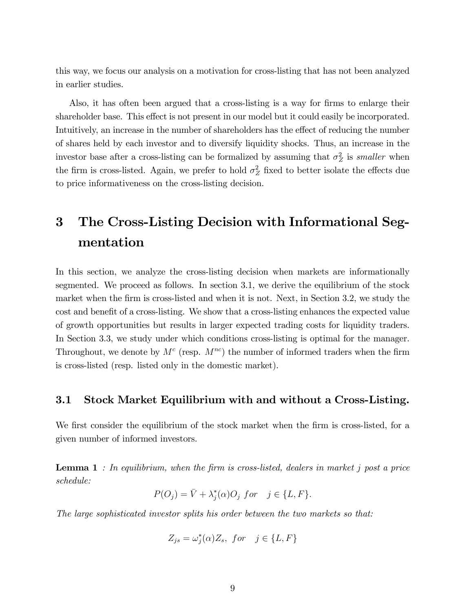this way, we focus our analysis on a motivation for cross-listing that has not been analyzed in earlier studies.

Also, it has often been argued that a cross-listing is a way for firms to enlarge their shareholder base. This effect is not present in our model but it could easily be incorporated. Intuitively, an increase in the number of shareholders has the effect of reducing the number of shares held by each investor and to diversify liquidity shocks. Thus, an increase in the investor base after a cross-listing can be formalized by assuming that  $\sigma_Z^2$  is *smaller* when the firm is cross-listed. Again, we prefer to hold  $\sigma_Z^2$  fixed to better isolate the effects due to price informativeness on the cross-listing decision.

# 3 The Cross-Listing Decision with Informational Segmentation

In this section, we analyze the cross-listing decision when markets are informationally segmented. We proceed as follows. In section 3.1, we derive the equilibrium of the stock market when the firm is cross-listed and when it is not. Next, in Section 3.2, we study the cost and benefit of a cross-listing. We show that a cross-listing enhances the expected value of growth opportunities but results in larger expected trading costs for liquidity traders. In Section 3.3, we study under which conditions cross-listing is optimal for the manager. Throughout, we denote by  $M^c$  (resp.  $M^{nc}$ ) the number of informed traders when the firm is cross-listed (resp. listed only in the domestic market).

### 3.1 Stock Market Equilibrium with and without a Cross-Listing.

We first consider the equilibrium of the stock market when the firm is cross-listed, for a given number of informed investors.

**Lemma 1** : In equilibrium, when the firm is cross-listed, dealers in market j post a price schedule:

$$
P(O_j) = \overline{V} + \lambda_j^*(\alpha)O_j \text{ for } j \in \{L, F\}.
$$

The large sophisticated investor splits his order between the two markets so that:

$$
Z_{js} = \omega_j^*(\alpha) Z_s, \text{ for } j \in \{L, F\}
$$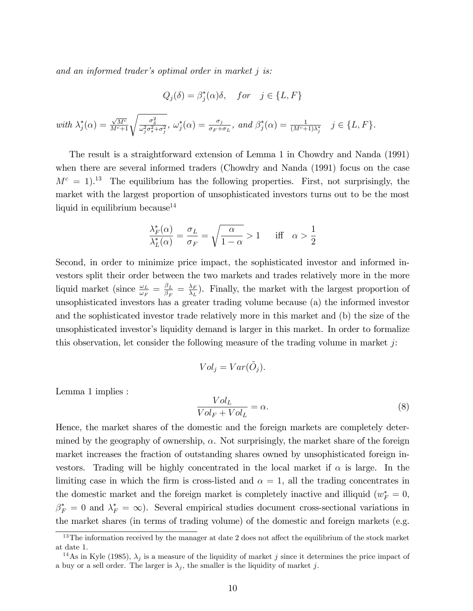and an informed trader's optimal order in market  $j$  is:

$$
Q_j(\delta) = \beta_j^*(\alpha)\delta, \quad for \quad j \in \{L, F\}
$$

with 
$$
\lambda_j^*(\alpha) = \frac{\sqrt{M^c}}{M^c+1} \sqrt{\frac{\sigma_\delta^2}{\omega_j^2 \sigma_s^2 + \sigma_j^2}}, \ \omega_j^*(\alpha) = \frac{\sigma_j}{\sigma_F + \sigma_L}, \ \text{and} \ \beta_j^*(\alpha) = \frac{1}{(M^c+1)\lambda_j^*} \quad j \in \{L, F\}.
$$

The result is a straightforward extension of Lemma 1 in Chowdry and Nanda (1991) when there are several informed traders (Chowdry and Nanda (1991) focus on the case  $M<sup>c</sup> = 1$ .<sup>13</sup> The equilibrium has the following properties. First, not surprisingly, the market with the largest proportion of unsophisticated investors turns out to be the most liquid in equilibrium because<sup>14</sup>

$$
\frac{\lambda_F^*(\alpha)}{\lambda_L^*(\alpha)} = \frac{\sigma_L}{\sigma_F} = \sqrt{\frac{\alpha}{1-\alpha}} > 1 \quad \text{iff} \quad \alpha > \frac{1}{2}
$$

Second, in order to minimize price impact, the sophisticated investor and informed investors split their order between the two markets and trades relatively more in the more liquid market (since  $\frac{\omega_L}{\omega_F} = \frac{\beta_L}{\beta_F}$  $\frac{\beta_L}{\beta_F}=\frac{\lambda_F}{\lambda_L}$  $\frac{\lambda_F}{\lambda_L}$ ). Finally, the market with the largest proportion of unsophisticated investors has a greater trading volume because (a) the informed investor and the sophisticated investor trade relatively more in this market and (b) the size of the unsophisticated investor's liquidity demand is larger in this market. In order to formalize this observation, let consider the following measure of the trading volume in market  $j$ :

$$
Vol_j = Var(\tilde{O}_j).
$$

Lemma 1 implies :

$$
\frac{Vol_L}{Vol_F + Vol_L} = \alpha.
$$
\n(8)

Hence, the market shares of the domestic and the foreign markets are completely determined by the geography of ownership,  $\alpha$ . Not surprisingly, the market share of the foreign market increases the fraction of outstanding shares owned by unsophisticated foreign investors. Trading will be highly concentrated in the local market if  $\alpha$  is large. In the limiting case in which the firm is cross-listed and  $\alpha = 1$ , all the trading concentrates in the domestic market and the foreign market is completely inactive and illiquid  $(w_F^* = 0,$  $\beta_F^* = 0$  and  $\lambda_F^* = \infty$ ). Several empirical studies document cross-sectional variations in the market shares (in terms of trading volume) of the domestic and foreign markets (e.g.

 $13$ The information received by the manager at date 2 does not affect the equilibrium of the stock market at date 1.

<sup>&</sup>lt;sup>14</sup>As in Kyle (1985),  $\lambda_j$  is a measure of the liquidity of market j since it determines the price impact of a buy or a sell order. The larger is  $\lambda_j$ , the smaller is the liquidity of market j.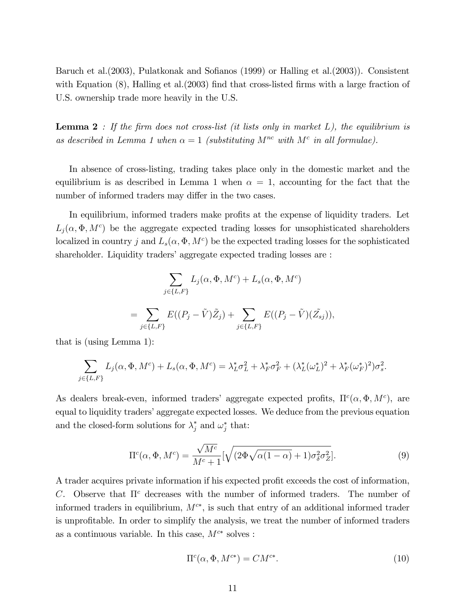Baruch et al. (2003), Pulatkonak and Sofianos (1999) or Halling et al. (2003)). Consistent with Equation  $(8)$ , Halling et al. $(2003)$  find that cross-listed firms with a large fraction of U.S. ownership trade more heavily in the U.S.

**Lemma 2** : If the firm does not cross-list (it lists only in market  $L$ ), the equilibrium is as described in Lemma 1 when  $\alpha = 1$  (substituting  $M^{nc}$  with  $M^{c}$  in all formulae).

In absence of cross-listing, trading takes place only in the domestic market and the equilibrium is as described in Lemma 1 when  $\alpha = 1$ , accounting for the fact that the number of informed traders may differ in the two cases.

In equilibrium, informed traders make profits at the expense of liquidity traders. Let  $L_j(\alpha, \Phi, M^c)$  be the aggregate expected trading losses for unsophisticated shareholders localized in country j and  $L_s(\alpha, \Phi, M^c)$  be the expected trading losses for the sophisticated shareholder. Liquidity traders' aggregate expected trading losses are :

$$
\sum_{j \in \{L, F\}} L_j(\alpha, \Phi, M^c) + L_s(\alpha, \Phi, M^c)
$$
  
= 
$$
\sum_{j \in \{L, F\}} E((P_j - \tilde{V})\tilde{Z}_j) + \sum_{j \in \{L, F\}} E((P_j - \tilde{V})(\tilde{Z}_{sj})),
$$

that is (using Lemma 1):

$$
\sum_{j \in \{L, F\}} L_j(\alpha, \Phi, M^c) + L_s(\alpha, \Phi, M^c) = \lambda_L^* \sigma_L^2 + \lambda_F^* \sigma_F^2 + (\lambda_L^* (\omega_L^*)^2 + \lambda_F^* (\omega_F^*)^2) \sigma_s^2.
$$

As dealers break-even, informed traders' aggregate expected profits,  $\Pi^c(\alpha, \Phi, M^c)$ , are equal to liquidity traders' aggregate expected losses. We deduce from the previous equation and the closed-form solutions for  $\lambda_j^*$  and  $\omega_j^*$  that:

$$
\Pi^{c}(\alpha, \Phi, M^{c}) = \frac{\sqrt{M^{c}}}{M^{c} + 1} [\sqrt{(2\Phi\sqrt{\alpha(1-\alpha)} + 1)\sigma_{\delta}^{2}\sigma_{Z}^{2}}].
$$
\n(9)

A trader acquires private information if his expected profit exceeds the cost of information, C. Observe that  $\Pi^c$  decreases with the number of informed traders. The number of informed traders in equilibrium,  $M^{c*}$ , is such that entry of an additional informed trader is unprofitable. In order to simplify the analysis, we treat the number of informed traders as a continuous variable. In this case,  $M^{c*}$  solves :

$$
\Pi^{c}(\alpha, \Phi, M^{c*}) = CM^{c*}.
$$
\n(10)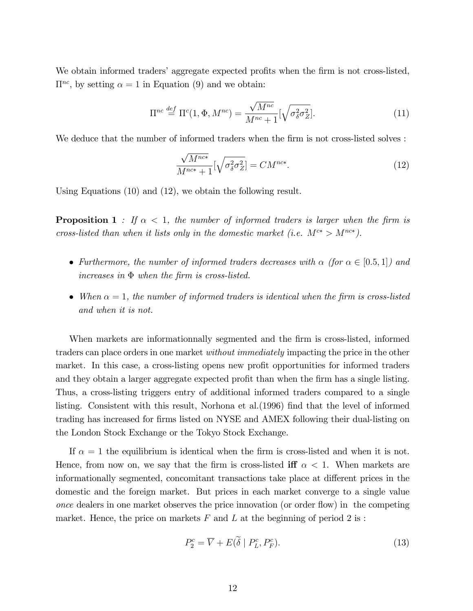We obtain informed traders' aggregate expected profits when the firm is not cross-listed,  $\Pi^{nc}$ , by setting  $\alpha = 1$  in Equation (9) and we obtain:

$$
\Pi^{nc} \stackrel{def}{=} \Pi^c(1, \Phi, M^{nc}) = \frac{\sqrt{M^{nc}}}{M^{nc} + 1} [\sqrt{\sigma_{\delta}^2 \sigma_Z^2}]. \tag{11}
$$

We deduce that the number of informed traders when the firm is not cross-listed solves :

$$
\frac{\sqrt{M^{nc*}}}{M^{nc*}+1}[\sqrt{\sigma_{\delta}^2 \sigma_Z^2}] = CM^{nc*}.
$$
\n(12)

Using Equations (10) and (12), we obtain the following result.

**Proposition 1** : If  $\alpha$  < 1, the number of informed traders is larger when the firm is cross-listed than when it lists only in the domestic market (i.e.  $M^{c*} > M^{nc*}$ ).

- Furthermore, the number of informed traders decreases with  $\alpha$  (for  $\alpha \in [0.5, 1]$ ) and increases in  $\Phi$  when the firm is cross-listed.
- When  $\alpha = 1$ , the number of informed traders is identical when the firm is cross-listed and when it is not.

When markets are informationnally segmented and the firm is cross-listed, informed traders can place orders in one market without immediately impacting the price in the other market. In this case, a cross-listing opens new profit opportunities for informed traders and they obtain a larger aggregate expected profit than when the firm has a single listing. Thus, a cross-listing triggers entry of additional informed traders compared to a single listing. Consistent with this result, Norhona et al. (1996) find that the level of informed trading has increased for firms listed on NYSE and AMEX following their dual-listing on the London Stock Exchange or the Tokyo Stock Exchange.

If  $\alpha = 1$  the equilibrium is identical when the firm is cross-listed and when it is not. Hence, from now on, we say that the firm is cross-listed iff  $\alpha < 1$ . When markets are informationally segmented, concomitant transactions take place at different prices in the domestic and the foreign market. But prices in each market converge to a single value once dealers in one market observes the price innovation (or order áow) in the competing market. Hence, the price on markets  $F$  and  $L$  at the beginning of period 2 is :

$$
P_2^c = \overline{V} + E(\tilde{\delta} \mid P_L^c, P_F^c). \tag{13}
$$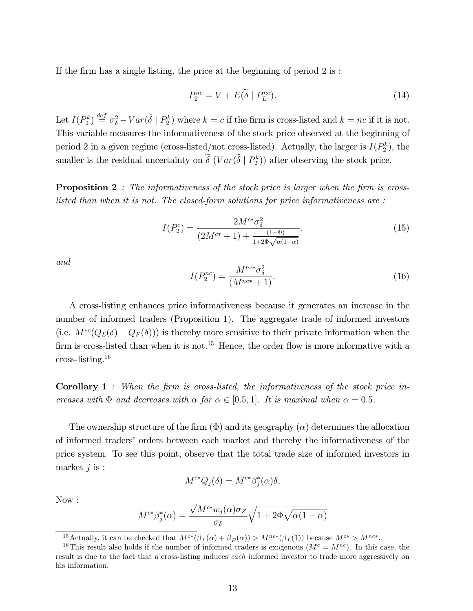If the firm has a single listing, the price at the beginning of period  $2$  is :

$$
P_2^{nc} = \overline{V} + E(\tilde{\delta} \mid P_L^{nc}). \tag{14}
$$

Let  $I(P_2^k) \stackrel{\text{def}}{=} \sigma_{\delta}^2 - Var(\tilde{\delta} \mid P_2^k)$  where  $k = c$  if the firm is cross-listed and  $k = nc$  if it is not. This variable measures the informativeness of the stock price observed at the beginning of period 2 in a given regime (cross-listed/not cross-listed). Actually, the larger is  $I(P_2^k)$ , the smaller is the residual uncertainty on  $\delta$   $(Var(\delta | P_2^k))$  after observing the stock price.

**Proposition 2** : The informativeness of the stock price is larger when the firm is crosslisted than when it is not. The closed-form solutions for price informativeness are :

$$
I(P_2^c) = \frac{2M^{c*}\sigma_\delta^2}{(2M^{c*}+1) + \frac{(1-\Phi)}{1+2\Phi\sqrt{\alpha(1-\alpha)}}},\tag{15}
$$

and

$$
I(P_2^{nc}) = \frac{M^{nc*} \sigma_{\delta}^2}{(M^{nc*} + 1)}.
$$
\n(16)

A cross-listing enhances price informativeness because it generates an increase in the number of informed traders (Proposition 1). The aggregate trade of informed investors (i.e.  $M^{*c}(Q_L(\delta) + Q_F(\delta))$ ) is thereby more sensitive to their private information when the firm is cross-listed than when it is not.<sup>15</sup> Hence, the order flow is more informative with a cross-listing. $16$ 

**Corollary 1** : When the firm is cross-listed, the informativeness of the stock price increases with  $\Phi$  and decreases with  $\alpha$  for  $\alpha \in [0.5, 1]$ . It is maximal when  $\alpha = 0.5$ .

The ownership structure of the firm  $(\Phi)$  and its geography  $(\alpha)$  determines the allocation of informed tradersí orders between each market and thereby the informativeness of the price system. To see this point, observe that the total trade size of informed investors in market  $j$  is :

$$
M^{c*}Q_j(\delta) = M^{c*}\beta_j^*(\alpha)\delta,
$$

Now :

$$
M^{c*}\beta_j^*(\alpha) = \frac{\sqrt{M^{c*}}w_j(\alpha)\sigma_Z}{\sigma_\delta}\sqrt{1 + 2\Phi\sqrt{\alpha(1-\alpha)}}
$$

<sup>&</sup>lt;sup>15</sup> Actually, it can be checked that  $M^{c*}(\beta_L(\alpha) + \beta_F(\alpha)) > M^{nc*}(\beta_L(1))$  because  $M^{c*} > M^{nc*}$ .

<sup>&</sup>lt;sup>16</sup>This result also holds if the number of informed traders is exogenous  $(M<sup>c</sup> = M<sup>nc</sup>)$ . In this case, the result is due to the fact that a cross-listing induces each informed investor to trade more aggressively on his information.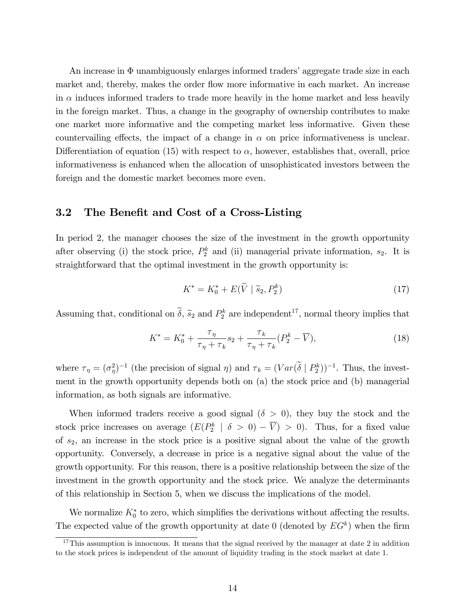An increase in  $\Phi$  unambiguously enlarges informed traders' aggregate trade size in each market and, thereby, makes the order flow more informative in each market. An increase in  $\alpha$  induces informed traders to trade more heavily in the home market and less heavily in the foreign market. Thus, a change in the geography of ownership contributes to make one market more informative and the competing market less informative. Given these countervailing effects, the impact of a change in  $\alpha$  on price informativeness is unclear. Differentiation of equation (15) with respect to  $\alpha$ , however, establishes that, overall, price informativeness is enhanced when the allocation of unsophisticated investors between the foreign and the domestic market becomes more even.

### 3.2 The Benefit and Cost of a Cross-Listing

In period 2, the manager chooses the size of the investment in the growth opportunity after observing (i) the stock price,  $P_2^k$  and (ii) managerial private information,  $s_2$ . It is straightforward that the optimal investment in the growth opportunity is:

$$
K^* = K_0^* + E(\tilde{V} \mid \tilde{s}_2, P_2^k) \tag{17}
$$

Assuming that, conditional on  $\delta$ ,  $\tilde{s}_2$  and  $P_2^k$  are independent<sup>17</sup>, normal theory implies that

$$
K^* = K_0^* + \frac{\tau_\eta}{\tau_\eta + \tau_k} s_2 + \frac{\tau_k}{\tau_\eta + \tau_k} (P_2^k - \overline{V}), \tag{18}
$$

where  $\tau_{\eta} = (\sigma_{\eta}^2)^{-1}$  (the precision of signal  $\eta$ ) and  $\tau_k = (Var(\delta | P_2^k))^{-1}$ . Thus, the investment in the growth opportunity depends both on (a) the stock price and (b) managerial information, as both signals are informative.

When informed traders receive a good signal  $(\delta > 0)$ , they buy the stock and the stock price increases on average  $(E(P_2^k \mid \delta > 0) - \overline{V}) > 0)$ . Thus, for a fixed value of  $s_2$ , an increase in the stock price is a positive signal about the value of the growth opportunity. Conversely, a decrease in price is a negative signal about the value of the growth opportunity. For this reason, there is a positive relationship between the size of the investment in the growth opportunity and the stock price. We analyze the determinants of this relationship in Section 5, when we discuss the implications of the model.

We normalize  $K_0^*$  to zero, which simplifies the derivations without affecting the results. The expected value of the growth opportunity at date 0 (denoted by  $EG<sup>k</sup>$ ) when the firm

 $17$ This assumption is innocuous. It means that the signal received by the manager at date 2 in addition to the stock prices is independent of the amount of liquidity trading in the stock market at date 1.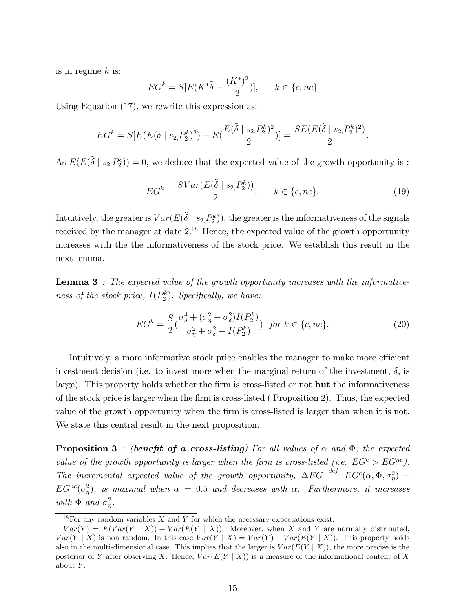is in regime  $k$  is:

$$
EG^{k} = S[E(K^*\tilde{\delta} - \frac{(K^*)^2}{2})], \qquad k \in \{c, nc\}
$$

Using Equation (17), we rewrite this expression as:

$$
EG^k = S[E(E(\tilde{\delta} \mid s_2, P_2^k)^2) - E(\frac{E(\tilde{\delta} \mid s_2, P_2^k)^2}{2})] = \frac{SE(E(\tilde{\delta} \mid s_2, P_2^k)^2)}{2}.
$$

As  $E(E(\tilde{\delta} \mid s_2, P_2^c)) = 0$ , we deduce that the expected value of the growth opportunity is :

$$
EG^k = \frac{SVar(E(\tilde{\delta} \mid s_2, P_2^k))}{2}, \qquad k \in \{c, nc\}.
$$
 (19)

Intuitively, the greater is  $Var(E(\tilde{\delta} \mid s_2, P_2^k))$ , the greater is the informativeness of the signals received by the manager at date  $2^{18}$  Hence, the expected value of the growth opportunity increases with the the informativeness of the stock price. We establish this result in the next lemma.

**Lemma 3** : The expected value of the growth opportunity increases with the informativeness of the stock price,  $I(P_2^k)$ . Specifically, we have:

$$
EG^{k} = \frac{S}{2} \left( \frac{\sigma_{\delta}^{4} + (\sigma_{\eta}^{2} - \sigma_{\delta}^{2}) I(P_{2}^{k})}{\sigma_{\eta}^{2} + \sigma_{\delta}^{2} - I(P_{2}^{k})} \right) \text{ for } k \in \{c, nc\}. \tag{20}
$$

Intuitively, a more informative stock price enables the manager to make more efficient investment decision (i.e. to invest more when the marginal return of the investment,  $\delta$ , is large). This property holds whether the firm is cross-listed or not **but** the informativeness of the stock price is larger when the Örm is cross-listed ( Proposition 2). Thus, the expected value of the growth opportunity when the firm is cross-listed is larger than when it is not. We state this central result in the next proposition.

**Proposition 3** : (benefit of a cross-listing) For all values of  $\alpha$  and  $\Phi$ , the expected value of the growth opportunity is larger when the firm is cross-listed (i.e.  $EG^c > EG^{nc}$ ). The incremental expected value of the growth opportunity,  $\Delta EG \stackrel{def}{=} EG^c(\alpha, \Phi, \sigma^2_{\eta})$  $EG^{nc}(\sigma_{\eta}^2)$ , is maximal when  $\alpha = 0.5$  and decreases with  $\alpha$ . Furthermore, it increases with  $\Phi$  and  $\sigma_{\eta}^2$ .

 $18$ For any random variables X and Y for which the necessary expectations exist,

 $Var(Y) = E(Var(Y | X)) + Var(E(Y | X)).$  Moreover, when X and Y are normally distributed,  $Var(Y | X)$  is non random. In this case  $Var(Y | X) = Var(Y) - Var(E(Y | X))$ . This property holds also in the multi-dimensional case. This implies that the larger is  $Var(E(Y | X))$ , the more precise is the posterior of Y after observing X. Hence,  $Var(E(Y | X))$  is a measure of the informational content of X about  $Y$ .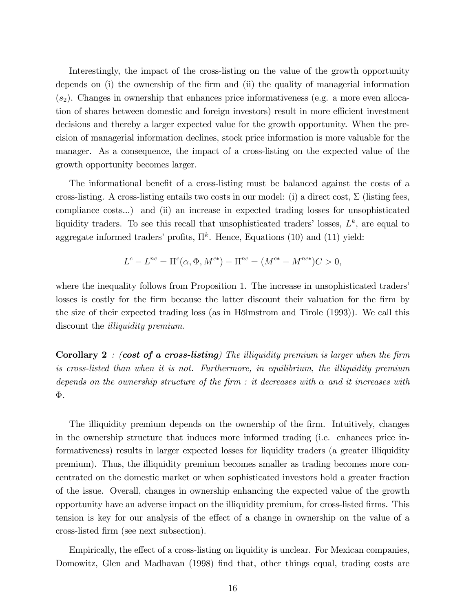Interestingly, the impact of the cross-listing on the value of the growth opportunity depends on (i) the ownership of the Örm and (ii) the quality of managerial information  $(s<sub>2</sub>)$ . Changes in ownership that enhances price informativeness (e.g. a more even allocation of shares between domestic and foreign investors) result in more efficient investment decisions and thereby a larger expected value for the growth opportunity. When the precision of managerial information declines, stock price information is more valuable for the manager. As a consequence, the impact of a cross-listing on the expected value of the growth opportunity becomes larger.

The informational benefit of a cross-listing must be balanced against the costs of a cross-listing. A cross-listing entails two costs in our model: (i) a direct cost,  $\Sigma$  (listing fees, compliance costs...) and (ii) an increase in expected trading losses for unsophisticated liquidity traders. To see this recall that unsophisticated traders' losses,  $L^k$ , are equal to aggregate informed traders' profits,  $\Pi^k$ . Hence, Equations (10) and (11) yield:

$$
L^{c} - L^{nc} = \Pi^{c}(\alpha, \Phi, M^{c*}) - \Pi^{nc} = (M^{c*} - M^{nc*})C > 0,
$$

where the inequality follows from Proposition 1. The increase in unsophisticated traders' losses is costly for the firm because the latter discount their valuation for the firm by the size of their expected trading loss (as in Hölmstrom and Tirole  $(1993)$ ). We call this discount the *illiquidity premium*.

**Corollary 2** : (cost of a cross-listing) The illiquidity premium is larger when the firm is cross-listed than when it is not. Furthermore, in equilibrium, the illiquidity premium depends on the ownership structure of the firm : it decreases with  $\alpha$  and it increases with  $\Phi$ .

The illiquidity premium depends on the ownership of the firm. Intuitively, changes in the ownership structure that induces more informed trading (i.e. enhances price informativeness) results in larger expected losses for liquidity traders (a greater illiquidity premium). Thus, the illiquidity premium becomes smaller as trading becomes more concentrated on the domestic market or when sophisticated investors hold a greater fraction of the issue. Overall, changes in ownership enhancing the expected value of the growth opportunity have an adverse impact on the illiquidity premium, for cross-listed Örms. This tension is key for our analysis of the effect of a change in ownership on the value of a cross-listed Örm (see next subsection).

Empirically, the effect of a cross-listing on liquidity is unclear. For Mexican companies, Domowitz, Glen and Madhavan (1998) find that, other things equal, trading costs are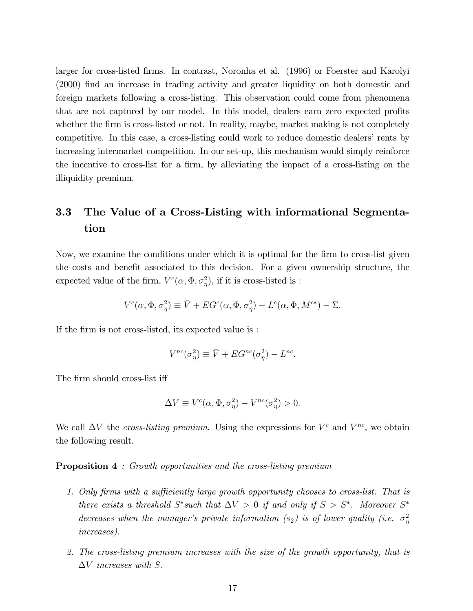larger for cross-listed Örms. In contrast, Noronha et al. (1996) or Foerster and Karolyi (2000) find an increase in trading activity and greater liquidity on both domestic and foreign markets following a cross-listing. This observation could come from phenomena that are not captured by our model. In this model, dealers earn zero expected profits whether the firm is cross-listed or not. In reality, maybe, market making is not completely competitive. In this case, a cross-listing could work to reduce domestic dealers' rents by increasing intermarket competition. In our set-up, this mechanism would simply reinforce the incentive to cross-list for a firm, by alleviating the impact of a cross-listing on the illiquidity premium.

# 3.3 The Value of a Cross-Listing with informational Segmentation

Now, we examine the conditions under which it is optimal for the firm to cross-list given the costs and benefit associated to this decision. For a given ownership structure, the expected value of the firm,  $V^c(\alpha, \Phi, \sigma_{\eta}^2)$ , if it is cross-listed is :

$$
V^c(\alpha, \Phi, \sigma^2_{\eta}) \equiv \bar{V} + EG^c(\alpha, \Phi, \sigma^2_{\eta}) - L^c(\alpha, \Phi, M^{c*}) - \Sigma.
$$

If the firm is not cross-listed, its expected value is :

$$
V^{nc}(\sigma_{\eta}^2) \equiv \bar{V} + EG^{nc}(\sigma_{\eta}^2) - L^{nc}.
$$

The firm should cross-list iff

$$
\Delta V \equiv V^c(\alpha, \Phi, \sigma_\eta^2) - V^{nc}(\sigma_\eta^2) > 0.
$$

We call  $\Delta V$  the cross-listing premium. Using the expressions for  $V^c$  and  $V^{nc}$ , we obtain the following result.

#### **Proposition 4** : Growth opportunities and the cross-listing premium

- 1. Only firms with a sufficiently large growth opportunity chooses to cross-list. That is there exists a threshold  $S^*$ such that  $\Delta V > 0$  if and only if  $S > S^*$ . Moreover  $S^*$ decreases when the manager's private information  $(s_2)$  is of lower quality (i.e.  $\sigma_{\eta}^2$ increases).
- 2. The cross-listing premium increases with the size of the growth opportunity, that is  $\Delta V$  increases with S.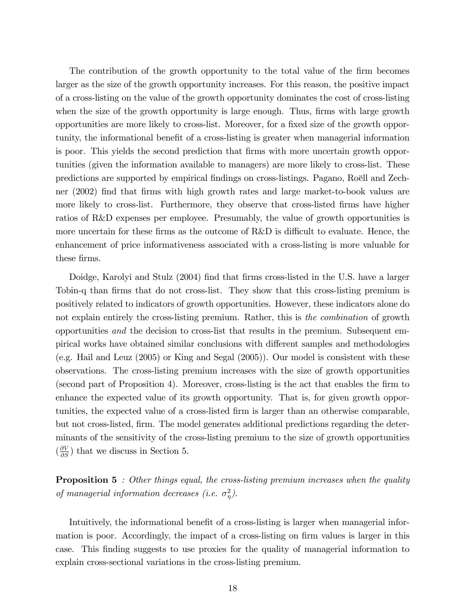The contribution of the growth opportunity to the total value of the firm becomes larger as the size of the growth opportunity increases. For this reason, the positive impact of a cross-listing on the value of the growth opportunity dominates the cost of cross-listing when the size of the growth opportunity is large enough. Thus, firms with large growth opportunities are more likely to cross-list. Moreover, for a fixed size of the growth opportunity, the informational benefit of a cross-listing is greater when managerial information is poor. This yields the second prediction that firms with more uncertain growth opportunities (given the information available to managers) are more likely to cross-list. These predictions are supported by empirical findings on cross-listings. Pagano, Roëll and Zechner (2002) find that firms with high growth rates and large market-to-book values are more likely to cross-list. Furthermore, they observe that cross-listed firms have higher ratios of R&D expenses per employee. Presumably, the value of growth opportunities is more uncertain for these firms as the outcome of  $R\&D$  is difficult to evaluate. Hence, the enhancement of price informativeness associated with a cross-listing is more valuable for these firms.

Doidge, Karolyi and Stulz (2004) find that firms cross-listed in the U.S. have a larger Tobin-q than firms that do not cross-list. They show that this cross-listing premium is positively related to indicators of growth opportunities. However, these indicators alone do not explain entirely the cross-listing premium. Rather, this is the combination of growth opportunities and the decision to cross-list that results in the premium. Subsequent empirical works have obtained similar conclusions with different samples and methodologies (e.g. Hail and Leuz (2005) or King and Segal (2005)). Our model is consistent with these observations. The cross-listing premium increases with the size of growth opportunities (second part of Proposition 4). Moreover, cross-listing is the act that enables the Örm to enhance the expected value of its growth opportunity. That is, for given growth opportunities, the expected value of a cross-listed firm is larger than an otherwise comparable, but not cross-listed, Örm. The model generates additional predictions regarding the determinants of the sensitivity of the cross-listing premium to the size of growth opportunities  $\left(\frac{\partial V}{\partial S}\right)$  that we discuss in Section 5.

**Proposition 5** : Other things equal, the cross-listing premium increases when the quality of managerial information decreases (i.e.  $\sigma_{\eta}^2$ ).

Intuitively, the informational benefit of a cross-listing is larger when managerial information is poor. Accordingly, the impact of a cross-listing on firm values is larger in this case. This Önding suggests to use proxies for the quality of managerial information to explain cross-sectional variations in the cross-listing premium.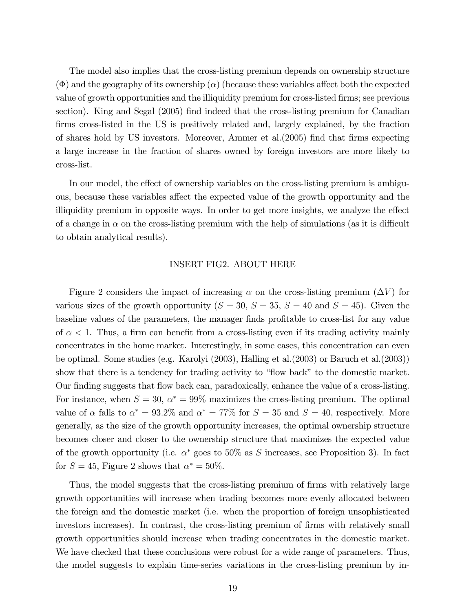The model also implies that the cross-listing premium depends on ownership structure  $(\Phi)$  and the geography of its ownership  $(\alpha)$  (because these variables affect both the expected value of growth opportunities and the illiquidity premium for cross-listed firms; see previous section). King and Segal (2005) find indeed that the cross-listing premium for Canadian firms cross-listed in the US is positively related and, largely explained, by the fraction of shares hold by US investors. Moreover, Ammer et al.  $(2005)$  find that firms expecting a large increase in the fraction of shares owned by foreign investors are more likely to cross-list.

In our model, the effect of ownership variables on the cross-listing premium is ambiguous, because these variables affect the expected value of the growth opportunity and the illiquidity premium in opposite ways. In order to get more insights, we analyze the effect of a change in  $\alpha$  on the cross-listing premium with the help of simulations (as it is difficult to obtain analytical results).

### INSERT FIG2. ABOUT HERE

Figure 2 considers the impact of increasing  $\alpha$  on the cross-listing premium ( $\Delta V$ ) for various sizes of the growth opportunity  $(S = 30, S = 35, S = 40 \text{ and } S = 45)$ . Given the baseline values of the parameters, the manager finds profitable to cross-list for any value of  $\alpha < 1$ . Thus, a firm can benefit from a cross-listing even if its trading activity mainly concentrates in the home market. Interestingly, in some cases, this concentration can even be optimal. Some studies (e.g. Karolyi (2003), Halling et al.(2003) or Baruch et al.(2003)) show that there is a tendency for trading activity to "flow back" to the domestic market. Our finding suggests that flow back can, paradoxically, enhance the value of a cross-listing. For instance, when  $S = 30$ ,  $\alpha^* = 99\%$  maximizes the cross-listing premium. The optimal value of  $\alpha$  falls to  $\alpha^* = 93.2\%$  and  $\alpha^* = 77\%$  for  $S = 35$  and  $S = 40$ , respectively. More generally, as the size of the growth opportunity increases, the optimal ownership structure becomes closer and closer to the ownership structure that maximizes the expected value of the growth opportunity (i.e.  $\alpha^*$  goes to 50% as S increases, see Proposition 3). In fact for  $S = 45$ , Figure 2 shows that  $\alpha^* = 50\%$ .

Thus, the model suggests that the cross-listing premium of firms with relatively large growth opportunities will increase when trading becomes more evenly allocated between the foreign and the domestic market (i.e. when the proportion of foreign unsophisticated investors increases). In contrast, the cross-listing premium of firms with relatively small growth opportunities should increase when trading concentrates in the domestic market. We have checked that these conclusions were robust for a wide range of parameters. Thus, the model suggests to explain time-series variations in the cross-listing premium by in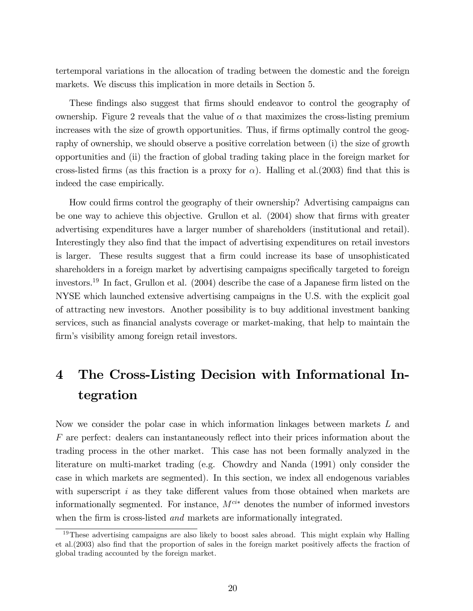tertemporal variations in the allocation of trading between the domestic and the foreign markets. We discuss this implication in more details in Section 5.

These findings also suggest that firms should endeavor to control the geography of ownership. Figure 2 reveals that the value of  $\alpha$  that maximizes the cross-listing premium increases with the size of growth opportunities. Thus, if firms optimally control the geography of ownership, we should observe a positive correlation between (i) the size of growth opportunities and (ii) the fraction of global trading taking place in the foreign market for cross-listed firms (as this fraction is a proxy for  $\alpha$ ). Halling et al.(2003) find that this is indeed the case empirically.

How could Örms control the geography of their ownership? Advertising campaigns can be one way to achieve this objective. Grullon et al. (2004) show that firms with greater advertising expenditures have a larger number of shareholders (institutional and retail). Interestingly they also find that the impact of advertising expenditures on retail investors is larger. These results suggest that a firm could increase its base of unsophisticated shareholders in a foreign market by advertising campaigns specifically targeted to foreign investors.<sup>19</sup> In fact, Grullon et al.  $(2004)$  describe the case of a Japanese firm listed on the NYSE which launched extensive advertising campaigns in the U.S. with the explicit goal of attracting new investors. Another possibility is to buy additional investment banking services, such as financial analysts coverage or market-making, that help to maintain the firm's visibility among foreign retail investors.

# 4 The Cross-Listing Decision with Informational Integration

Now we consider the polar case in which information linkages between markets L and  $F$  are perfect: dealers can instantaneously reflect into their prices information about the trading process in the other market. This case has not been formally analyzed in the literature on multi-market trading (e.g. Chowdry and Nanda (1991) only consider the case in which markets are segmented). In this section, we index all endogenous variables with superscript  $i$  as they take different values from those obtained when markets are informationally segmented. For instance,  $M^{cik}$  denotes the number of informed investors when the firm is cross-listed *and* markets are informationally integrated.

 $19$ These advertising campaigns are also likely to boost sales abroad. This might explain why Halling et al.(2003) also find that the proportion of sales in the foreign market positively affects the fraction of global trading accounted by the foreign market.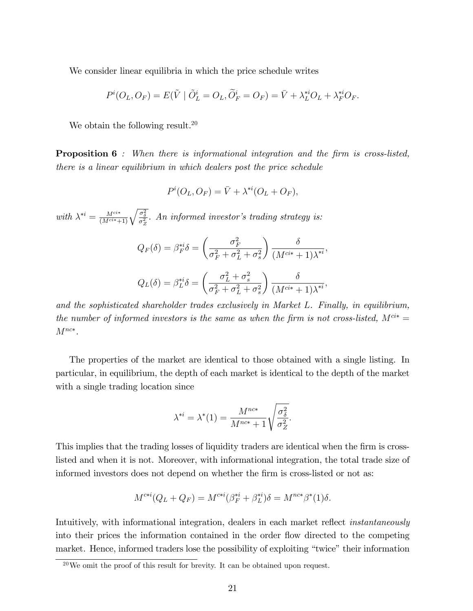We consider linear equilibria in which the price schedule writes

$$
P^{i}(O_{L}, O_{F}) = E(\tilde{V} | \tilde{O}_{L}^{i} = O_{L}, \tilde{O}_{F}^{i} = O_{F}) = \bar{V} + \lambda_{L}^{*i}O_{L} + \lambda_{F}^{*i}O_{F}.
$$

We obtain the following result.<sup>20</sup>

**Proposition 6** : When there is informational integration and the firm is cross-listed, there is a linear equilibrium in which dealers post the price schedule

$$
P^i(O_L, O_F) = \overline{V} + \lambda^{*i}(O_L + O_F),
$$

with  $\lambda^{*i} = \frac{M^{cik}}{(M^{cik}+1)} \sqrt{\frac{\sigma_{\delta}^2}{\sigma_Z^2}}$ . An informed investor's trading strategy is:

$$
Q_F(\delta) = \beta_F^{*i} \delta = \left(\frac{\sigma_F^2}{\sigma_F^2 + \sigma_L^2 + \sigma_s^2}\right) \frac{\delta}{(M^{ci*} + 1)\lambda^{*i}},
$$
  

$$
Q_L(\delta) = \beta_L^{*i} \delta = \left(\frac{\sigma_L^2 + \sigma_s^2}{\sigma_F^2 + \sigma_L^2 + \sigma_s^2}\right) \frac{\delta}{(M^{ci*} + 1)\lambda^{*i}},
$$

and the sophisticated shareholder trades exclusively in Market L. Finally, in equilibrium, the number of informed investors is the same as when the firm is not cross-listed,  $M^{ci*} =$  $M^{nc*}$ .

The properties of the market are identical to those obtained with a single listing. In particular, in equilibrium, the depth of each market is identical to the depth of the market with a single trading location since

$$
\lambda^{*i} = \lambda^*(1) = \frac{M^{nc*}}{M^{nc*} + 1} \sqrt{\frac{\sigma_{\delta}^2}{\sigma_Z^2}}.
$$

This implies that the trading losses of liquidity traders are identical when the firm is crosslisted and when it is not. Moreover, with informational integration, the total trade size of informed investors does not depend on whether the firm is cross-listed or not as:

$$
M^{c+i}(Q_L + Q_F) = M^{c+i}(\beta_F^{*i} + \beta_L^{*i})\delta = M^{nc*}\beta^*(1)\delta.
$$

Intuitively, with informational integration, dealers in each market reflect *instantaneously* into their prices the information contained in the order flow directed to the competing market. Hence, informed traders lose the possibility of exploiting "twice" their information

 $^{20}$ We omit the proof of this result for brevity. It can be obtained upon request.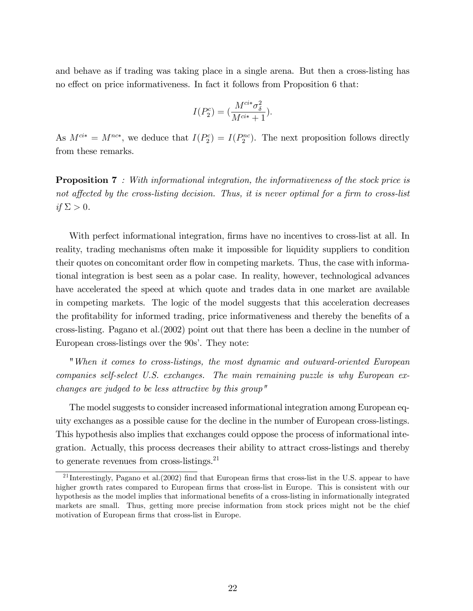and behave as if trading was taking place in a single arena. But then a cross-listing has no effect on price informativeness. In fact it follows from Proposition  $6$  that:

$$
I(P_2^c) = (\frac{M^{ci*} \sigma_{\delta}^2}{M^{ci*} + 1}).
$$

As  $M^{ci*} = M^{nc*}$ , we deduce that  $I(P_2^c) = I(P_2^{nc})$ . The next proposition follows directly from these remarks.

**Proposition 7** : With informational integration, the informativeness of the stock price is not affected by the cross-listing decision. Thus, it is never optimal for a firm to cross-list if  $\Sigma > 0$ .

With perfect informational integration, firms have no incentives to cross-list at all. In reality, trading mechanisms often make it impossible for liquidity suppliers to condition their quotes on concomitant order flow in competing markets. Thus, the case with informational integration is best seen as a polar case. In reality, however, technological advances have accelerated the speed at which quote and trades data in one market are available in competing markets. The logic of the model suggests that this acceleration decreases the profitability for informed trading, price informativeness and thereby the benefits of a cross-listing. Pagano et al.(2002) point out that there has been a decline in the number of European cross-listings over the 90s'. They note:

"When it comes to cross-listings, the most dynamic and outward-oriented European companies self-select U.S. exchanges. The main remaining puzzle is why European exchanges are judged to be less attractive by this group"

The model suggests to consider increased informational integration among European equity exchanges as a possible cause for the decline in the number of European cross-listings. This hypothesis also implies that exchanges could oppose the process of informational integration. Actually, this process decreases their ability to attract cross-listings and thereby to generate revenues from cross-listings. $^{21}$ 

<sup>&</sup>lt;sup>21</sup> Interestingly, Pagano et al. (2002) find that European firms that cross-list in the U.S. appear to have higher growth rates compared to European firms that cross-list in Europe. This is consistent with our hypothesis as the model implies that informational benefits of a cross-listing in informationally integrated markets are small. Thus, getting more precise information from stock prices might not be the chief motivation of European firms that cross-list in Europe.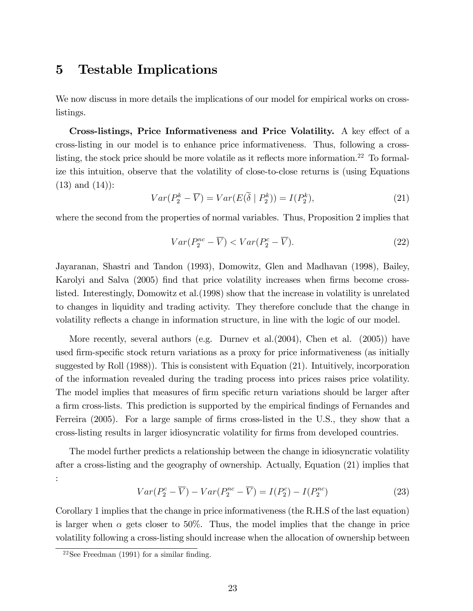# 5 Testable Implications

We now discuss in more details the implications of our model for empirical works on crosslistings.

Cross-listings, Price Informativeness and Price Volatility. A key effect of a cross-listing in our model is to enhance price informativeness. Thus, following a crosslisting, the stock price should be more volatile as it reflects more information.<sup>22</sup> To formalize this intuition, observe that the volatility of close-to-close returns is (using Equations (13) and (14)):

$$
Var(P_2^k - \overline{V}) = Var(E(\widetilde{\delta} \mid P_2^k)) = I(P_2^k),\tag{21}
$$

where the second from the properties of normal variables. Thus, Proposition 2 implies that

$$
Var(P_2^{nc} - \overline{V}) < Var(P_2^{c} - \overline{V}).\tag{22}
$$

Jayaranan, Shastri and Tandon (1993), Domowitz, Glen and Madhavan (1998), Bailey, Karolyi and Salva (2005) find that price volatility increases when firms become crosslisted. Interestingly, Domowitz et al.(1998) show that the increase in volatility is unrelated to changes in liquidity and trading activity. They therefore conclude that the change in volatility reflects a change in information structure, in line with the logic of our model.

More recently, several authors (e.g. Durnev et al.(2004), Chen et al. (2005)) have used firm-specific stock return variations as a proxy for price informativeness (as initially suggested by Roll (1988)). This is consistent with Equation (21). Intuitively, incorporation of the information revealed during the trading process into prices raises price volatility. The model implies that measures of firm specific return variations should be larger after a firm cross-lists. This prediction is supported by the empirical findings of Fernandes and Ferreira (2005). For a large sample of firms cross-listed in the U.S., they show that a cross-listing results in larger idiosyncratic volatility for Örms from developed countries.

The model further predicts a relationship between the change in idiosyncratic volatility after a cross-listing and the geography of ownership. Actually, Equation (21) implies that :

$$
Var(P_2^c - \overline{V}) - Var(P_2^{nc} - \overline{V}) = I(P_2^c) - I(P_2^{nc})
$$
\n(23)

Corollary 1 implies that the change in price informativeness (the R.H.S of the last equation) is larger when  $\alpha$  gets closer to 50%. Thus, the model implies that the change in price volatility following a cross-listing should increase when the allocation of ownership between

 $22$ See Freedman (1991) for a similar finding.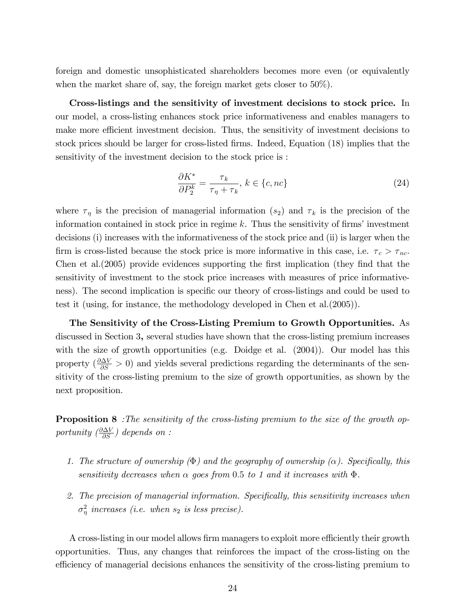foreign and domestic unsophisticated shareholders becomes more even (or equivalently when the market share of, say, the foreign market gets closer to 50%).

Cross-listings and the sensitivity of investment decisions to stock price. In our model, a cross-listing enhances stock price informativeness and enables managers to make more efficient investment decision. Thus, the sensitivity of investment decisions to stock prices should be larger for cross-listed firms. Indeed, Equation (18) implies that the sensitivity of the investment decision to the stock price is :

$$
\frac{\partial K^*}{\partial P_2^k} = \frac{\tau_k}{\tau_\eta + \tau_k}, \, k \in \{c, nc\} \tag{24}
$$

where  $\tau_{\eta}$  is the precision of managerial information  $(s_2)$  and  $\tau_k$  is the precision of the information contained in stock price in regime  $k$ . Thus the sensitivity of firms' investment decisions (i) increases with the informativeness of the stock price and (ii) is larger when the firm is cross-listed because the stock price is more informative in this case, i.e.  $\tau_c > \tau_{nc}$ . Chen et al. (2005) provide evidences supporting the first implication (they find that the sensitivity of investment to the stock price increases with measures of price informativeness). The second implication is specific our theory of cross-listings and could be used to test it (using, for instance, the methodology developed in Chen et al.(2005)).

The Sensitivity of the Cross-Listing Premium to Growth Opportunities. As discussed in Section 3, several studies have shown that the cross-listing premium increases with the size of growth opportunities (e.g. Doidge et al.  $(2004)$ ). Our model has this property  $(\frac{\partial \Delta V}{\partial S} > 0)$  and yields several predictions regarding the determinants of the sensitivity of the cross-listing premium to the size of growth opportunities, as shown by the next proposition.

**Proposition 8** : The sensitivity of the cross-listing premium to the size of the growth opportunity  $\left(\frac{\partial \Delta V}{\partial S}\right)$  depends on :

- 1. The structure of ownership  $(\Phi)$  and the geography of ownership ( $\alpha$ ). Specifically, this sensitivity decreases when  $\alpha$  goes from 0.5 to 1 and it increases with  $\Phi$ .
- 2. The precision of managerial information. Specifically, this sensitivity increases when  $\sigma_{\eta}^2$  increases (i.e. when  $s_2$  is less precise).

A cross-listing in our model allows firm managers to exploit more efficiently their growth opportunities. Thus, any changes that reinforces the impact of the cross-listing on the efficiency of managerial decisions enhances the sensitivity of the cross-listing premium to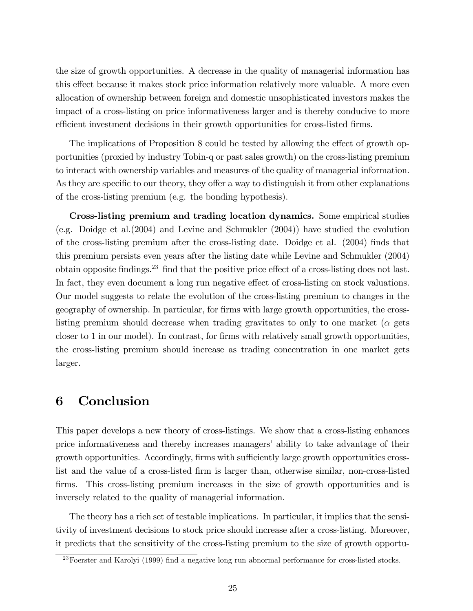the size of growth opportunities. A decrease in the quality of managerial information has this effect because it makes stock price information relatively more valuable. A more even allocation of ownership between foreign and domestic unsophisticated investors makes the impact of a cross-listing on price informativeness larger and is thereby conducive to more efficient investment decisions in their growth opportunities for cross-listed firms.

The implications of Proposition 8 could be tested by allowing the effect of growth opportunities (proxied by industry Tobin-q or past sales growth) on the cross-listing premium to interact with ownership variables and measures of the quality of managerial information. As they are specific to our theory, they offer a way to distinguish it from other explanations of the cross-listing premium (e.g. the bonding hypothesis).

Cross-listing premium and trading location dynamics. Some empirical studies (e.g. Doidge et al.(2004) and Levine and Schmukler (2004)) have studied the evolution of the cross-listing premium after the cross-listing date. Doidge et al. (2004) Önds that this premium persists even years after the listing date while Levine and Schmukler (2004) obtain opposite findings.<sup>23</sup> find that the positive price effect of a cross-listing does not last. In fact, they even document a long run negative effect of cross-listing on stock valuations. Our model suggests to relate the evolution of the cross-listing premium to changes in the geography of ownership. In particular, for Örms with large growth opportunities, the crosslisting premium should decrease when trading gravitates to only to one market ( $\alpha$  gets closer to 1 in our model). In contrast, for firms with relatively small growth opportunities, the cross-listing premium should increase as trading concentration in one market gets larger.

# 6 Conclusion

This paper develops a new theory of cross-listings. We show that a cross-listing enhances price informativeness and thereby increases managersí ability to take advantage of their growth opportunities. Accordingly, firms with sufficiently large growth opportunities crosslist and the value of a cross-listed firm is larger than, otherwise similar, non-cross-listed firms. This cross-listing premium increases in the size of growth opportunities and is inversely related to the quality of managerial information.

The theory has a rich set of testable implications. In particular, it implies that the sensitivity of investment decisions to stock price should increase after a cross-listing. Moreover, it predicts that the sensitivity of the cross-listing premium to the size of growth opportu-

 $^{23}$ Foerster and Karolyi (1999) find a negative long run abnormal performance for cross-listed stocks.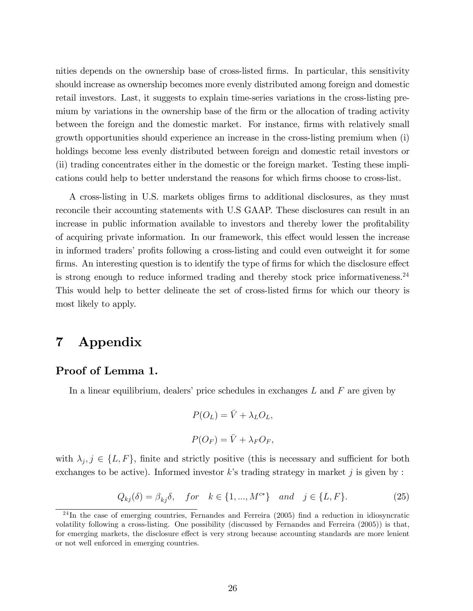nities depends on the ownership base of cross-listed firms. In particular, this sensitivity should increase as ownership becomes more evenly distributed among foreign and domestic retail investors. Last, it suggests to explain time-series variations in the cross-listing premium by variations in the ownership base of the firm or the allocation of trading activity between the foreign and the domestic market. For instance, firms with relatively small growth opportunities should experience an increase in the cross-listing premium when (i) holdings become less evenly distributed between foreign and domestic retail investors or (ii) trading concentrates either in the domestic or the foreign market. Testing these implications could help to better understand the reasons for which firms choose to cross-list.

A cross-listing in U.S. markets obliges firms to additional disclosures, as they must reconcile their accounting statements with U.S GAAP. These disclosures can result in an increase in public information available to investors and thereby lower the profitability of acquiring private information. In our framework, this effect would lessen the increase in informed traders' profits following a cross-listing and could even outweight it for some firms. An interesting question is to identify the type of firms for which the disclosure effect is strong enough to reduce informed trading and thereby stock price informativeness.<sup>24</sup> This would help to better delineate the set of cross-listed firms for which our theory is most likely to apply.

# 7 Appendix

## Proof of Lemma 1.

In a linear equilibrium, dealers' price schedules in exchanges  $L$  and  $F$  are given by

$$
P(O_L) = \bar{V} + \lambda_L O_L,
$$
  

$$
P(O_F) = \bar{V} + \lambda_F O_F,
$$

with  $\lambda_j, j \in \{L, F\}$ , finite and strictly positive (this is necessary and sufficient for both exchanges to be active). Informed investor k's trading strategy in market j is given by :

$$
Q_{kj}(\delta) = \beta_{kj}\delta, \quad for \quad k \in \{1, ..., M^{c*}\} \quad and \quad j \in \{L, F\}.
$$
 (25)

 $^{24}$ In the case of emerging countries, Fernandes and Ferreira (2005) find a reduction in idiosyncratic volatility following a cross-listing. One possibility (discussed by Fernandes and Ferreira (2005)) is that, for emerging markets, the disclosure effect is very strong because accounting standards are more lenient or not well enforced in emerging countries.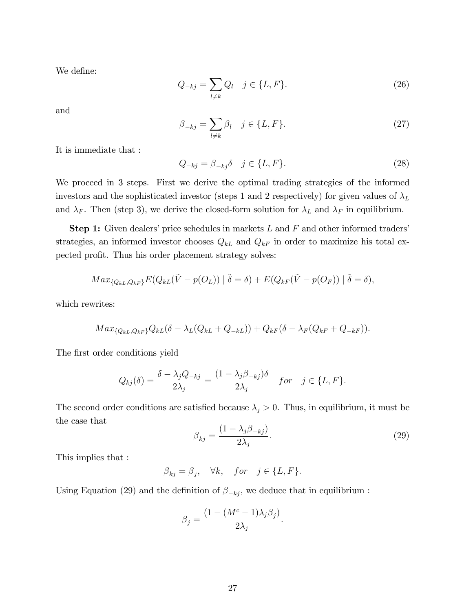We define:

$$
Q_{-kj} = \sum_{l \neq k} Q_l \quad j \in \{L, F\}.
$$
 (26)

and

$$
\beta_{-kj} = \sum_{l \neq k} \beta_l \quad j \in \{L, F\}.
$$
\n(27)

It is immediate that :

$$
Q_{-kj} = \beta_{-kj}\delta \quad j \in \{L, F\}.
$$
\n
$$
(28)
$$

We proceed in 3 steps. First we derive the optimal trading strategies of the informed investors and the sophisticated investor (steps 1 and 2 respectively) for given values of  $\lambda_L$ and  $\lambda_F$ . Then (step 3), we derive the closed-form solution for  $\lambda_L$  and  $\lambda_F$  in equilibrium.

**Step 1:** Given dealers' price schedules in markets  $L$  and  $F$  and other informed traders' strategies, an informed investor chooses  $Q_{kL}$  and  $Q_{kF}$  in order to maximize his total expected profit. Thus his order placement strategy solves:

$$
Max_{\{Q_{kL}, Q_{kF}\}} E(Q_{kL}(\tilde{V} - p(O_L)) | \tilde{\delta} = \delta) + E(Q_{kF}(\tilde{V} - p(O_F)) | \tilde{\delta} = \delta),
$$

which rewrites:

$$
Max_{\{Q_{kL}, Q_{kF}\}}Q_{kL}(\delta - \lambda_L(Q_{kL} + Q_{-kL})) + Q_{kF}(\delta - \lambda_F(Q_{kF} + Q_{-kF})).
$$

The first order conditions yield

$$
Q_{kj}(\delta) = \frac{\delta - \lambda_j Q_{-kj}}{2\lambda_j} = \frac{(1 - \lambda_j \beta_{-kj})\delta}{2\lambda_j} \quad for \quad j \in \{L, F\}.
$$

The second order conditions are satisfied because  $\lambda_j > 0$ . Thus, in equilibrium, it must be the case that

$$
\beta_{kj} = \frac{(1 - \lambda_j \beta_{-kj})}{2\lambda_j}.
$$
\n(29)

This implies that :

$$
\beta_{kj}=\beta_j,\quad \forall k,\quad for\quad j\in\{L,F\}.
$$

Using Equation (29) and the definition of  $\beta_{-kj}$ , we deduce that in equilibrium :

$$
\beta_j = \frac{(1 - (M^c - 1)\lambda_j \beta_j)}{2\lambda_j}.
$$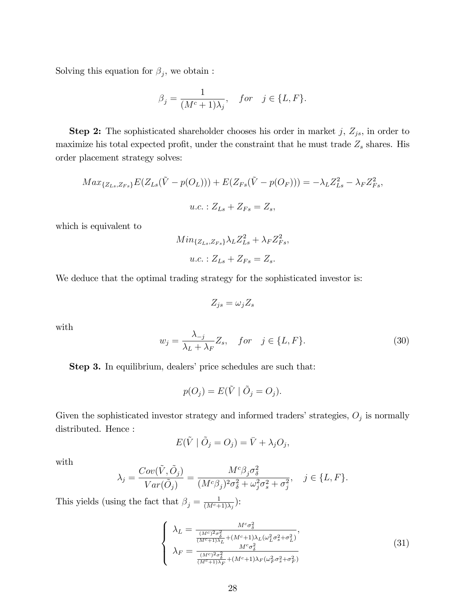Solving this equation for  $\beta_j$ , we obtain:

$$
\beta_j = \frac{1}{(M^c+1)\lambda_j}, \quad for \quad j \in \{L, F\}.
$$

**Step 2:** The sophisticated shareholder chooses his order in market j,  $Z_{js}$ , in order to maximize his total expected profit, under the constraint that he must trade  $Z_s$  shares. His order placement strategy solves:

$$
Max_{\{Z_{Ls},Z_{Fs}\}}E(Z_{Ls}(\tilde{V}-p(O_L))) + E(Z_{Fs}(\tilde{V}-p(O_F))) = -\lambda_L Z_{Ls}^2 - \lambda_F Z_{Fs}^2,
$$
  

$$
u.c. : Z_{Ls} + Z_{Fs} = Z_s,
$$

which is equivalent to

$$
Min_{\{Z_{Ls},Z_{Fs}\}} \lambda_L Z_{Ls}^2 + \lambda_F Z_{Fs}^2,
$$
  

$$
u.c.: Z_{Ls} + Z_{Fs} = Z_s.
$$

We deduce that the optimal trading strategy for the sophisticated investor is:

$$
Z_{js}=\omega_jZ_s
$$

with

$$
w_j = \frac{\lambda_{-j}}{\lambda_L + \lambda_F} Z_s, \quad \text{for} \quad j \in \{L, F\}. \tag{30}
$$

Step 3. In equilibrium, dealers' price schedules are such that:

$$
p(O_j) = E(\tilde{V} | \tilde{O}_j = O_j).
$$

Given the sophisticated investor strategy and informed traders' strategies,  $O_j$  is normally distributed. Hence :

$$
E(\tilde{V} | \tilde{O}_j = O_j) = \bar{V} + \lambda_j O_j,
$$

with

$$
\lambda_j = \frac{Cov(\tilde{V}, \tilde{O}_j)}{Var(\tilde{O}_j)} = \frac{M^c \beta_j \sigma_\delta^2}{(M^c \beta_j)^2 \sigma_\delta^2 + \omega_j^2 \sigma_s^2 + \sigma_j^2}, \quad j \in \{L, F\}.
$$

This yields (using the fact that  $\beta_j = \frac{1}{(M^c + 1)^2}$  $\frac{1}{(M^c+1)\lambda_j}$ ):

$$
\begin{cases}\n\lambda_L = \frac{M^c \sigma_\delta^2}{\frac{(M^c)^2 \sigma_\delta^2}{(M^c+1)\lambda_L} + (M^c+1)\lambda_L(\omega_L^2 \sigma_s^2 + \sigma_L^2)},\\ \n\lambda_F = \frac{M^c \sigma_\delta^2}{\frac{(M^c)^2 \sigma_\delta^2}{(M^c+1)\lambda_F} + (M^c+1)\lambda_F(\omega_F^2 \sigma_s^2 + \sigma_F^2)}\n\end{cases} \tag{31}
$$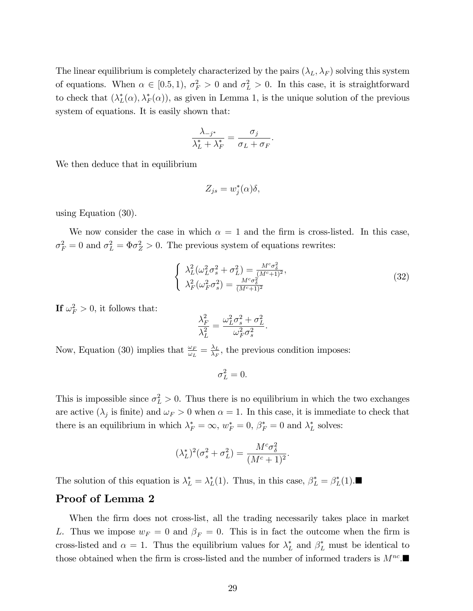The linear equilibrium is completely characterized by the pairs  $(\lambda_L, \lambda_F)$  solving this system of equations. When  $\alpha \in [0.5, 1), \sigma_F^2 > 0$  and  $\sigma_L^2 > 0$ . In this case, it is straightforward to check that  $(\lambda_L^*(\alpha), \lambda_F^*(\alpha))$ , as given in Lemma 1, is the unique solution of the previous system of equations. It is easily shown that:

$$
\frac{\lambda_{-j^*}}{\lambda_L^* + \lambda_F^*} = \frac{\sigma_j}{\sigma_L + \sigma_F}.
$$

We then deduce that in equilibrium

$$
Z_{js} = w_j^*(\alpha)\delta,
$$

using Equation (30).

We now consider the case in which  $\alpha = 1$  and the firm is cross-listed. In this case,  $\sigma_F^2 = 0$  and  $\sigma_L^2 = \Phi \sigma_Z^2 > 0$ . The previous system of equations rewrites:

$$
\begin{cases}\n\lambda_L^2(\omega_L^2 \sigma_s^2 + \sigma_L^2) = \frac{M^c \sigma_\delta^2}{(M^c + 1)^2}, \\
\lambda_F^2(\omega_F^2 \sigma_s^2) = \frac{M^c \sigma_\delta^2}{(M^c + 1)^2}\n\end{cases} (32)
$$

If  $\omega_F^2 > 0$ , it follows that:

$$
\frac{\lambda_F^2}{\lambda_L^2} = \frac{\omega_L^2 \sigma_s^2 + \sigma_L^2}{\omega_F^2 \sigma_s^2}.
$$

Now, Equation (30) implies that  $\frac{\omega_F}{\omega_L} = \frac{\lambda_L}{\lambda_F}$  $\frac{\lambda_L}{\lambda_F}$ , the previous condition imposes:

$$
\sigma_L^2 = 0.
$$

This is impossible since  $\sigma_L^2 > 0$ . Thus there is no equilibrium in which the two exchanges are active  $(\lambda_j$  is finite) and  $\omega_F > 0$  when  $\alpha = 1$ . In this case, it is immediate to check that there is an equilibrium in which  $\lambda_F^* = \infty$ ,  $w_F^* = 0$ ,  $\beta_F^* = 0$  and  $\lambda_L^*$  solves:

$$
(\lambda_L^*)^2(\sigma_s^2 + \sigma_L^2) = \frac{M^c \sigma_\delta^2}{(M^c + 1)^2}.
$$

The solution of this equation is  $\lambda_L^* = \lambda_L^*(1)$ . Thus, in this case,  $\beta_L^* = \beta_L^*(1)$ .

### Proof of Lemma 2

When the firm does not cross-list, all the trading necessarily takes place in market L. Thus we impose  $w_F = 0$  and  $\beta_F = 0$ . This is in fact the outcome when the firm is cross-listed and  $\alpha = 1$ . Thus the equilibrium values for  $\lambda_L^*$  and  $\beta_L^*$  must be identical to those obtained when the firm is cross-listed and the number of informed traders is  $M^{nc}$ .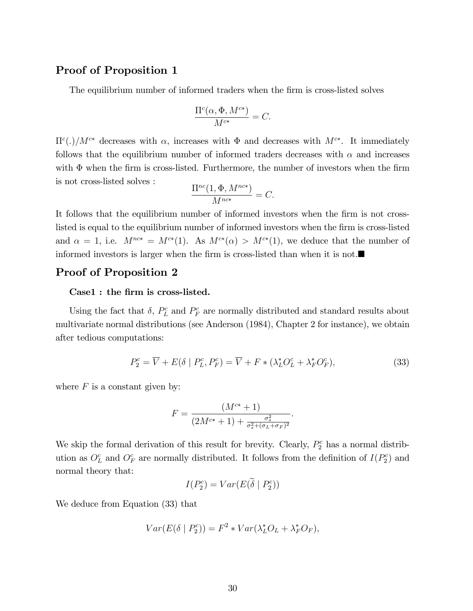### Proof of Proposition 1

The equilibrium number of informed traders when the firm is cross-listed solves

$$
\frac{\Pi^c(\alpha, \Phi, M^{c*})}{M^{c*}} = C.
$$

 $\Pi^c(.)/M^{c*}$  decreases with  $\alpha$ , increases with  $\Phi$  and decreases with  $M^{c*}$ . It immediately follows that the equilibrium number of informed traders decreases with  $\alpha$  and increases with  $\Phi$  when the firm is cross-listed. Furthermore, the number of investors when the firm is not cross-listed solves :

$$
\frac{\Pi^{nc}(1,\Phi,M^{nc*})}{M^{nc*}} = C.
$$

It follows that the equilibrium number of informed investors when the firm is not crosslisted is equal to the equilibrium number of informed investors when the firm is cross-listed and  $\alpha = 1$ , i.e.  $M^{nc*} = M^{c*}(1)$ . As  $M^{c*}(\alpha) > M^{c*}(1)$ , we deduce that the number of informed investors is larger when the firm is cross-listed than when it is not. $\blacksquare$ 

### Proof of Proposition 2

### Case1 : the firm is cross-listed.

Using the fact that  $\delta$ ,  $P_L^c$  and  $P_F^c$  are normally distributed and standard results about multivariate normal distributions (see Anderson (1984), Chapter 2 for instance), we obtain after tedious computations:

$$
P_2^c = \overline{V} + E(\delta \mid P_L^c, P_F^c) = \overline{V} + F \ast (\lambda_L^* O_L^c + \lambda_F^* O_F^c),\tag{33}
$$

:

where  $F$  is a constant given by:

$$
F = \frac{(M^{c*} + 1)}{(2M^{c*} + 1) + \frac{\sigma_s^2}{\sigma_s^2 + (\sigma_L + \sigma_F)^2}}
$$

We skip the formal derivation of this result for brevity. Clearly,  $P_2^c$  has a normal distribution as  $O<sub>L</sub><sup>c</sup>$  and  $O<sub>F</sub><sup>c</sup>$  are normally distributed. It follows from the definition of  $I(P<sub>2</sub><sup>c</sup>)$  and normal theory that:

$$
I(P_2^c) = Var(E(\tilde{\delta} \mid P_2^c))
$$

We deduce from Equation (33) that

$$
Var(E(\delta \mid P_2^c)) = F^2 * Var(\lambda_L^* O_L + \lambda_F^* O_F),
$$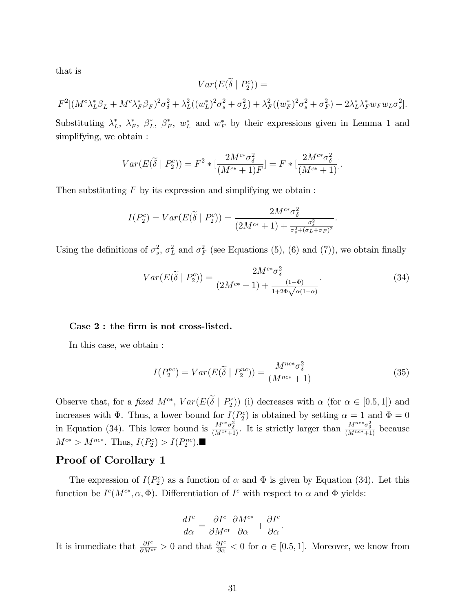that is

$$
Var(E(\tilde{\delta} \mid P_2^c)) =
$$
  

$$
F^2[(M^c \lambda_L^* \beta_L + M^c \lambda_F^* \beta_F)^2 \sigma_{\delta}^2 + \lambda_L^2 ((w_L^*)^2 \sigma_s^2 + \sigma_L^2) + \lambda_F^2 ((w_F^*)^2 \sigma_s^2 + \sigma_F^2) + 2\lambda_L^* \lambda_F^* w_F w_L \sigma_s^2].
$$

Substituting  $\lambda_L^*$ ,  $\lambda_F^*$ ,  $\beta_L^*$ ,  $\beta_F^*$ ,  $w_L^*$  and  $w_F^*$  by their expressions given in Lemma 1 and simplifying, we obtain :

$$
Var(E(\widetilde{\delta} \mid P_2^c)) = F^2 * [\frac{2M^{c*} \sigma_{\delta}^2}{(M^{c*} + 1)F}] = F * [\frac{2M^{c*} \sigma_{\delta}^2}{(M^{c*} + 1)}].
$$

Then substituting  $F$  by its expression and simplifying we obtain :

$$
I(P_2^c) = Var(E(\widetilde{\delta} \mid P_2^c)) = \frac{2M^{c*}\sigma_{\delta}^2}{(2M^{c*}+1) + \frac{\sigma_{s}^2}{\sigma_{s}^2 + (\sigma_L + \sigma_F)^2}}.
$$

Using the definitions of  $\sigma_s^2$ ,  $\sigma_L^2$  and  $\sigma_F^2$  (see Equations (5), (6) and (7)), we obtain finally

$$
Var(E(\tilde{\delta} \mid P_2^c)) = \frac{2M^{c*} \sigma_{\delta}^2}{(2M^{c*} + 1) + \frac{(1-\Phi)}{1 + 2\Phi\sqrt{\alpha(1-\alpha)}}}.
$$
\n(34)

#### Case 2 : the firm is not cross-listed.

In this case, we obtain :

$$
I(P_2^{nc}) = Var(E(\tilde{\delta} \mid P_2^{nc})) = \frac{M^{nc*} \sigma_{\delta}^2}{(M^{nc*} + 1)}
$$
(35)

Observe that, for a *fixed*  $M^{c*}$ ,  $Var(E(\delta | P_2^c))$  (i) decreases with  $\alpha$  (for  $\alpha \in [0.5, 1]$ ) and increases with  $\Phi$ . Thus, a lower bound for  $I(P_2^c)$  is obtained by setting  $\alpha = 1$  and  $\Phi = 0$ in Equation (34). This lower bound is  $\frac{M^{c*} \sigma_{\delta}^2}{(M^{c*}+1)}$ . It is strictly larger than  $\frac{M^{nc*} \sigma_{\delta}^2}{(M^{nc*}+1)}$  because  $M^{c*} > M^{nc*}$ . Thus,  $I(P_2^c) > I(P_2^{nc})$ .

## Proof of Corollary 1

The expression of  $I(P_2^c)$  as a function of  $\alpha$  and  $\Phi$  is given by Equation (34). Let this function be  $I^c(M^{c*}, \alpha, \Phi)$ . Differentiation of  $I^c$  with respect to  $\alpha$  and  $\Phi$  yields:

$$
\frac{dI^c}{d\alpha} = \frac{\partial I^c}{\partial M^{c*}} \frac{\partial M^{c*}}{\partial \alpha} + \frac{\partial I^c}{\partial \alpha}.
$$

It is immediate that  $\frac{\partial I^c}{\partial M^{c*}} > 0$  and that  $\frac{\partial I^c}{\partial \alpha} < 0$  for  $\alpha \in [0.5, 1]$ . Moreover, we know from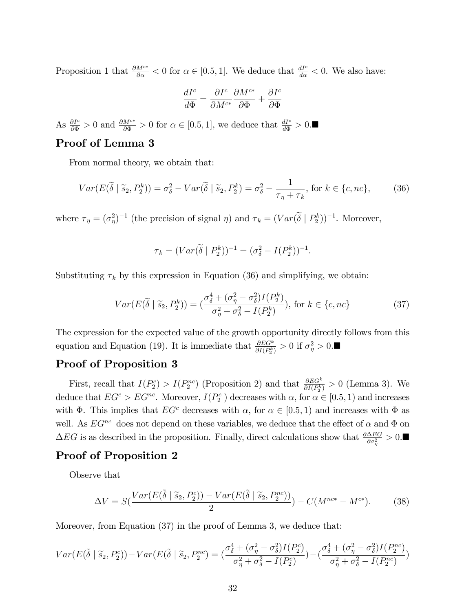Proposition 1 that  $\frac{\partial M^{c*}}{\partial \alpha} < 0$  for  $\alpha \in [0.5, 1]$ . We deduce that  $\frac{dI^c}{d\alpha} < 0$ . We also have:

$$
\frac{dI^c}{d\Phi}=\frac{\partial I^c}{\partial M^{c*}}\frac{\partial M^{c*}}{\partial \Phi}+\frac{\partial I^c}{\partial \Phi}
$$

As  $\frac{\partial I^c}{\partial \Phi} > 0$  and  $\frac{\partial M^{c*}}{\partial \Phi} > 0$  for  $\alpha \in [0.5, 1]$ , we deduce that  $\frac{dI^c}{d\Phi} > 0$ .

### Proof of Lemma 3

From normal theory, we obtain that:

$$
Var(E(\widetilde{\delta} \mid \widetilde{s}_2, P_2^k)) = \sigma_{\delta}^2 - Var(\widetilde{\delta} \mid \widetilde{s}_2, P_2^k) = \sigma_{\delta}^2 - \frac{1}{\tau_{\eta} + \tau_k}, \text{ for } k \in \{c, nc\},\tag{36}
$$

where  $\tau_{\eta} = (\sigma_{\eta}^2)^{-1}$  (the precision of signal  $\eta$ ) and  $\tau_k = (Var(\delta | P_2^k))^{-1}$ . Moreover,

$$
\tau_k = (Var(\tilde{\delta} \mid P_2^k))^{-1} = (\sigma_{\delta}^2 - I(P_2^k))^{-1}.
$$

Substituting  $\tau_k$  by this expression in Equation (36) and simplifying, we obtain:

$$
Var(E(\widetilde{\delta} \mid \widetilde{s}_2, P_2^k)) = \left(\frac{\sigma_{\delta}^4 + (\sigma_{\eta}^2 - \sigma_{\delta}^2)I(P_2^k)}{\sigma_{\eta}^2 + \sigma_{\delta}^2 - I(P_2^k)}\right), \text{ for } k \in \{c, nc\}
$$
 (37)

The expression for the expected value of the growth opportunity directly follows from this equation and Equation (19). It is immediate that  $\frac{\partial EG^k}{\partial I(P_2^k)} > 0$  if  $\sigma_\eta^2 > 0$ .

## Proof of Proposition 3

First, recall that  $I(P_2^c) > I(P_2^{nc})$  (Proposition 2) and that  $\frac{\partial EG^k}{\partial I(P_2^k)} > 0$  (Lemma 3). We deduce that  $EG^c > EG^{nc}$ . Moreover,  $I(P_2^c)$  decreases with  $\alpha$ , for  $\alpha \in [0.5, 1)$  and increases with  $\Phi$ . This implies that  $EG^c$  decreases with  $\alpha$ , for  $\alpha \in [0.5, 1)$  and increases with  $\Phi$  as well. As  $EG^{nc}$  does not depend on these variables, we deduce that the effect of  $\alpha$  and  $\Phi$  on  $\Delta EG$  is as described in the proposition. Finally, direct calculations show that  $\frac{\partial \Delta EG}{\partial \sigma_{\eta}^2} > 0$ .

### Proof of Proposition 2

Observe that

$$
\Delta V = S\left(\frac{Var(E(\tilde{\delta} \mid \tilde{s}_2, P_2^c)) - Var(E(\tilde{\delta} \mid \tilde{s}_2, P_2^{nc}))}{2}\right) - C(M^{nc*} - M^{c*}).\tag{38}
$$

Moreover, from Equation (37) in the proof of Lemma 3, we deduce that:

$$
Var(E(\tilde{\delta} \mid \tilde{s}_2, P_2^c)) - Var(E(\tilde{\delta} \mid \tilde{s}_2, P_2^{nc}) = (\frac{\sigma_{\delta}^4 + (\sigma_{\eta}^2 - \sigma_{\delta}^2)I(P_2^c)}{\sigma_{\eta}^2 + \sigma_{\delta}^2 - I(P_2^c)}) - (\frac{\sigma_{\delta}^4 + (\sigma_{\eta}^2 - \sigma_{\delta}^2)I(P_2^{nc})}{\sigma_{\eta}^2 + \sigma_{\delta}^2 - I(P_2^{nc})})
$$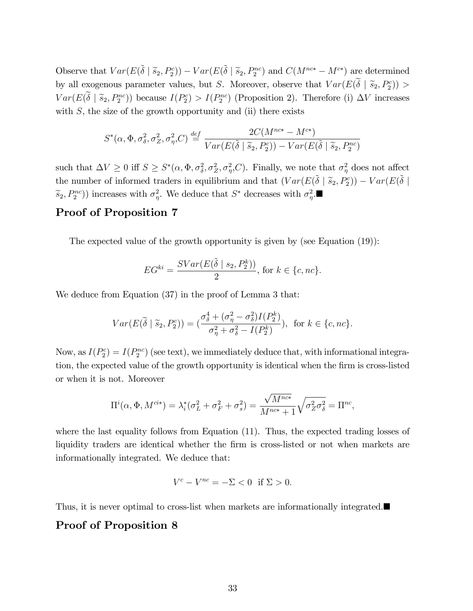Observe that  $Var(E(\tilde{\delta} | \tilde{s}_2, P_2^c)) - Var(E(\tilde{\delta} | \tilde{s}_2, P_2^{nc})$  and  $C(M^{nc*} - M^{c*})$  are determined by all exogenous parameter values, but S. Moreover, observe that  $Var(E(\delta | \tilde{s}_2, P_2^c)) >$  $Var(E(\delta \mid \tilde{s}_2, P_2^{nc}))$  because  $I(P_2^c) > I(P_2^{nc})$  (Proposition 2). Therefore (i)  $\Delta V$  increases with  $S$ , the size of the growth opportunity and (ii) there exists

$$
S^*(\alpha, \Phi, \sigma_{\delta}^2, \sigma_Z^2, \sigma_{\eta}^2, C) \stackrel{def}{=} \frac{2C(M^{nc*} - M^{c*})}{Var(E(\tilde{\delta} \mid \tilde{s}_2, P_2^c)) - Var(E(\tilde{\delta} \mid \tilde{s}_2, P_2^{nc}))}
$$

such that  $\Delta V \ge 0$  iff  $S \ge S^*(\alpha, \Phi, \sigma_\delta^2, \sigma_Z^2, \sigma_\eta^2, C)$ . Finally, we note that  $\sigma_\eta^2$  does not affect the number of informed traders in equilibrium and that  $(Var(E(\tilde{\delta} | \tilde{s}_2, P_2^c)) - Var(E(\tilde{\delta} | \tilde{s}_1, P_2^c))$  $(\widetilde{s}_2, P_2^{nc})$  increases with  $\sigma_{\eta}^2$ . We deduce that  $S^*$  decreases with  $\sigma_{\eta}^2$ .

### Proof of Proposition 7

The expected value of the growth opportunity is given by (see Equation (19)):

$$
EG^{ki} = \frac{SVar(E(\tilde{\delta} \mid s_2, P_2^k))}{2}, \text{ for } k \in \{c, nc\}.
$$

We deduce from Equation  $(37)$  in the proof of Lemma 3 that:

$$
Var(E(\widetilde{\delta} \mid \widetilde{s}_2, P_2^c)) = \left(\frac{\sigma_{\delta}^4 + (\sigma_{\eta}^2 - \sigma_{\delta}^2)I(P_2^k)}{\sigma_{\eta}^2 + \sigma_{\delta}^2 - I(P_2^k)}\right), \text{ for } k \in \{c, nc\}.
$$

Now, as  $I(P_2^c) = I(P_2^{nc})$  (see text), we immediately deduce that, with informational integration, the expected value of the growth opportunity is identical when the firm is cross-listed or when it is not. Moreover

$$
\Pi^{i}(\alpha, \Phi, M^{ci*}) = \lambda_i^*(\sigma_L^2 + \sigma_F^2 + \sigma_s^2) = \frac{\sqrt{M^{nc*}}}{M^{nc*} + 1} \sqrt{\sigma_Z^2 \sigma_\delta^2} = \Pi^{nc},
$$

where the last equality follows from Equation  $(11)$ . Thus, the expected trading losses of liquidity traders are identical whether the firm is cross-listed or not when markets are informationally integrated. We deduce that:

$$
V^c - V^{nc} = -\Sigma < 0 \quad \text{if } \Sigma > 0.
$$

Thus, it is never optimal to cross-list when markets are informationally integrated.

## Proof of Proposition 8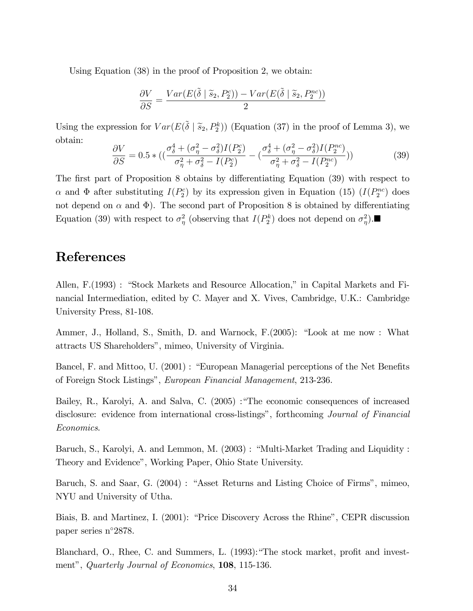Using Equation (38) in the proof of Proposition 2, we obtain:

$$
\frac{\partial V}{\partial S} = \frac{Var(E(\tilde{\delta} \mid \tilde{s}_2, P_2^c)) - Var(E(\tilde{\delta} \mid \tilde{s}_2, P_2^{nc}))}{2}
$$

Using the expression for  $Var(E(\tilde{\delta} | \tilde{s}_2, P_2^k))$  (Equation (37) in the proof of Lemma 3), we obtain:

$$
\frac{\partial V}{\partial S} = 0.5 * ((\frac{\sigma_{\delta}^4 + (\sigma_{\eta}^2 - \sigma_{\delta}^2)I(P_2^c)}{\sigma_{\eta}^2 + \sigma_{\delta}^2 - I(P_2^c)} - (\frac{\sigma_{\delta}^4 + (\sigma_{\eta}^2 - \sigma_{\delta}^2)I(P_2^{nc})}{\sigma_{\eta}^2 + \sigma_{\delta}^2 - I(P_2^{nc})}))
$$
(39)

The first part of Proposition 8 obtains by differentiating Equation (39) with respect to  $\alpha$  and  $\Phi$  after substituting  $I(P_2^c)$  by its expression given in Equation (15)  $(I(P_2^{nc})$  does not depend on  $\alpha$  and  $\Phi$ ). The second part of Proposition 8 is obtained by differentiating Equation (39) with respect to  $\sigma_{\eta}^2$  (observing that  $I(P_2^k)$  does not depend on  $\sigma_{\eta}^2$ ).

# References

Allen, F.(1993) : "Stock Markets and Resource Allocation," in Capital Markets and Financial Intermediation, edited by C. Mayer and X. Vives, Cambridge, U.K.: Cambridge University Press, 81-108.

Ammer, J., Holland, S., Smith, D. and Warnock, F. (2005): "Look at me now : What attracts US Shareholdersî, mimeo, University of Virginia.

Bancel, F. and Mittoo, U. (2001) : "European Managerial perceptions of the Net Benefits of Foreign Stock Listingsî, European Financial Management, 213-236.

Bailey, R., Karolyi, A. and Salva, C. (2005) : The economic consequences of increased disclosure: evidence from international cross-listings", forthcoming *Journal of Financial* Economics.

Baruch, S., Karolyi, A. and Lemmon, M. (2003) : "Multi-Market Trading and Liquidity : Theory and Evidenceî, Working Paper, Ohio State University.

Baruch, S. and Saar, G. (2004) : "Asset Returns and Listing Choice of Firms", mimeo, NYU and University of Utha.

Biais, B. and Martinez, I. (2001): "Price Discovery Across the Rhine", CEPR discussion paper series n°2878.

Blanchard, O., Rhee, C. and Summers, L. (1993): The stock market, profit and investment", Quarterly Journal of Economics, 108, 115-136.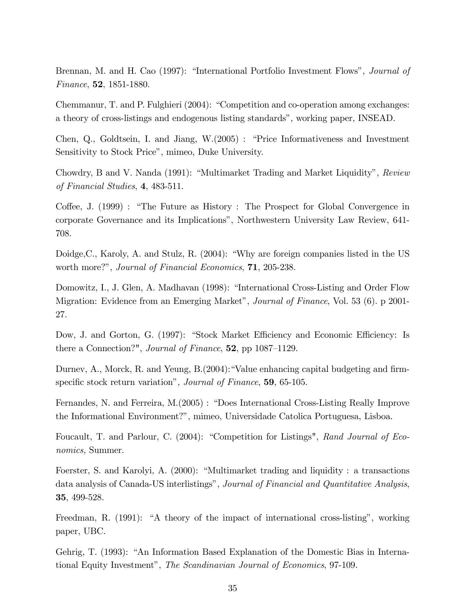Brennan, M. and H. Cao (1997): "International Portfolio Investment Flows", *Journal of* Finance, 52, 1851-1880.

Chemmanur, T. and P. Fulghieri (2004): "Competition and co-operation among exchanges: a theory of cross-listings and endogenous listing standards", working paper, INSEAD.

Chen,  $Q_i$ , Goldtsein, I. and Jiang,  $W(2005)$ : "Price Informativeness and Investment Sensitivity to Stock Price", mimeo, Duke University.

Chowdry, B and V. Nanda (1991): "Multimarket Trading and Market Liquidity", Review of Financial Studies, 4, 483-511.

Coffee, J. (1999) : "The Future as History : The Prospect for Global Convergence in corporate Governance and its Implications", Northwestern University Law Review, 641-708.

Doidge, C., Karoly, A. and Stulz, R. (2004): "Why are foreign companies listed in the US worth more?", Journal of Financial Economics, 71, 205-238.

Domowitz, I., J. Glen, A. Madhavan (1998): "International Cross-Listing and Order Flow Migration: Evidence from an Emerging Market", Journal of Finance, Vol. 53 (6). p 2001-27.

Dow, J. and Gorton, G. (1997): "Stock Market Efficiency and Economic Efficiency: Is there a Connection?", *Journal of Finance*,  $52$ , pp 1087–1129.

Durnev, A., Morck, R. and Yeung, B.(2004):"Value enhancing capital budgeting and firmspecific stock return variation", *Journal of Finance*, **59**, 65-105.

Fernandes, N. and Ferreira, M.(2005) : "Does International Cross-Listing Really Improve the Informational Environment?î, mimeo, Universidade Catolica Portuguesa, Lisboa.

Foucault, T. and Parlour, C. (2004): "Competition for Listings", Rand Journal of Economics, Summer.

Foerster, S. and Karolyi, A.  $(2000)$ : "Multimarket trading and liquidity : a transactions data analysis of Canada-US interlistings", Journal of Financial and Quantitative Analysis, 35, 499-528.

Freedman, R. (1991): "A theory of the impact of international cross-listing", working paper, UBC.

Gehrig, T. (1993): "An Information Based Explanation of the Domestic Bias in International Equity Investment", The Scandinavian Journal of Economics, 97-109.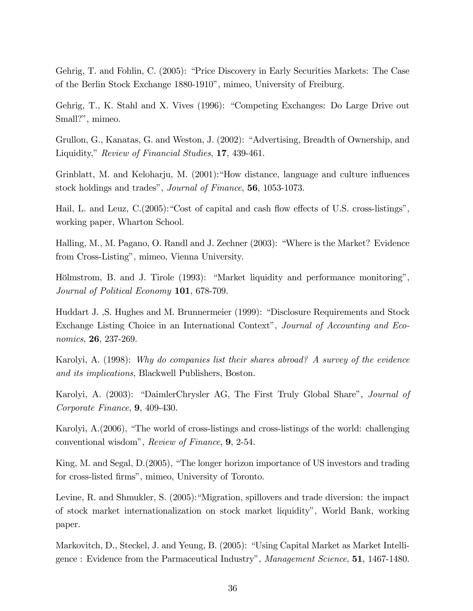Gehrig, T. and Fohlin, C. (2005): "Price Discovery in Early Securities Markets: The Case of the Berlin Stock Exchange 1880-1910", mimeo, University of Freiburg.

Gehrig, T., K. Stahl and X. Vives (1996): "Competing Exchanges: Do Large Drive out Small?", mimeo.

Grullon, G., Kanatas, G. and Weston, J. (2002): "Advertising, Breadth of Ownership, and Liquidity," Review of Financial Studies, 17, 439-461.

Grinblatt, M. and Keloharju, M.  $(2001)$ : How distance, language and culture influences stock holdings and trades", *Journal of Finance*, **56**, 1053-1073.

Hail, L. and Leuz,  $C(2005)$ : "Cost of capital and cash flow effects of U.S. cross-listings", working paper, Wharton School.

Halling, M., M. Pagano, O. Randl and J. Zechner (2003): "Where is the Market? Evidence from Cross-Listing", mimeo, Vienna University.

Hölmstrom, B. and J. Tirole (1993): "Market liquidity and performance monitoring", Journal of Political Economy 101, 678-709.

Huddart J., S. Hughes and M. Brunnermeier (1999): "Disclosure Requirements and Stock Exchange Listing Choice in an International Context", Journal of Accounting and Economics, 26, 237-269.

Karolyi, A. (1998): Why do companies list their shares abroad? A survey of the evidence and its implications, Blackwell Publishers, Boston.

Karolyi, A. (2003): "DaimlerChrysler AG, The First Truly Global Share", *Journal of* Corporate Finance, 9, 409-430.

Karolyi,  $A(2006)$ , "The world of cross-listings and cross-listings of the world: challenging conventional wisdomî, Review of Finance, 9, 2-54.

King, M. and Segal,  $D(2005)$ , "The longer horizon importance of US investors and trading for cross-listed firms", mimeo, University of Toronto.

Levine, R. and Shmukler, S. (2005): "Migration, spillovers and trade diversion: the impact of stock market internationalization on stock market liquidityî, World Bank, working paper.

Markovitch, D., Steckel, J. and Yeung, B. (2005): "Using Capital Market as Market Intelligence : Evidence from the Parmaceutical Industryî, Management Science, 51, 1467-1480.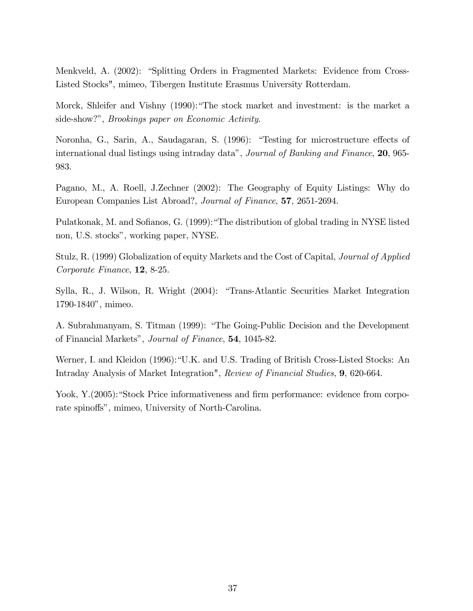Menkveld, A. (2002): "Splitting Orders in Fragmented Markets: Evidence from Cross-Listed Stocks", mimeo, Tibergen Institute Erasmus University Rotterdam.

Morck, Shleifer and Vishny  $(1990)$ : "The stock market and investment: is the market a side-show?", *Brookings paper on Economic Activity*.

Noronha, G., Sarin, A., Saudagaran, S. (1996): "Testing for microstructure effects of international dual listings using intraday data", *Journal of Banking and Finance*, **20**, 965-983.

Pagano, M., A. Roell, J.Zechner (2002): The Geography of Equity Listings: Why do European Companies List Abroad?, Journal of Finance, 57, 2651-2694.

Pulatkonak, M. and Sofianos, G. (1999): "The distribution of global trading in NYSE listed non, U.S. stocks", working paper, NYSE.

Stulz, R. (1999) Globalization of equity Markets and the Cost of Capital, Journal of Applied Corporate Finance, 12, 8-25.

Sylla, R., J. Wilson, R. Wright (2004): "Trans-Atlantic Securities Market Integration 1790-1840", mimeo.

A. Subrahmanyam, S. Titman (1999): "The Going-Public Decision and the Development of Financial Markets", Journal of Finance, **54**, 1045-82.

Werner, I. and Kleidon (1996):"U.K. and U.S. Trading of British Cross-Listed Stocks: An Intraday Analysis of Market Integration", Review of Financial Studies, 9, 620-664.

Yook, Y.(2005): "Stock Price informativeness and firm performance: evidence from corporate spinoffs", mimeo, University of North-Carolina.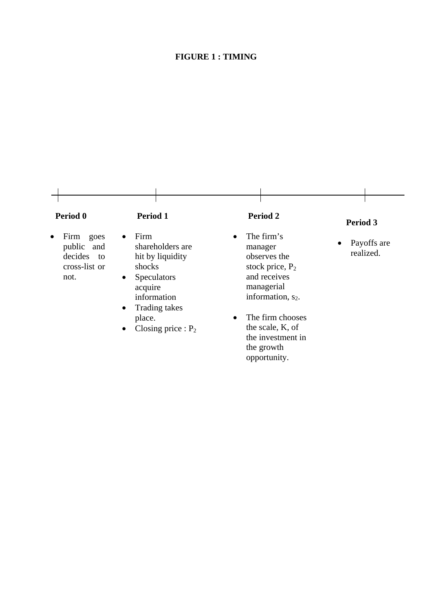# **FIGURE 1 : TIMING**

| Period 0                                                                       | <b>Period 1</b>                                                                                                                                                | Period 2                                                                                                                                | Period 3                      |
|--------------------------------------------------------------------------------|----------------------------------------------------------------------------------------------------------------------------------------------------------------|-----------------------------------------------------------------------------------------------------------------------------------------|-------------------------------|
| Firm<br>goes<br>$\bullet$<br>public and<br>decides to<br>cross-list or<br>not. | Firm<br>$\bullet$<br>shareholders are<br>hit by liquidity<br>shocks<br><b>Speculators</b><br>$\bullet$<br>acquire<br>information<br>Trading takes<br>$\bullet$ | The firm's<br>$\bullet$<br>manager<br>observes the<br>stock price, $P_2$<br>and receives<br>managerial<br>information, s <sub>2</sub> . | Payoffs are<br>٠<br>realized. |
|                                                                                | place.<br>Closing price : $P_2$<br>$\bullet$                                                                                                                   | The firm chooses<br>$\bullet$<br>the scale, K, of<br>the investment in                                                                  |                               |

the growth opportunity.